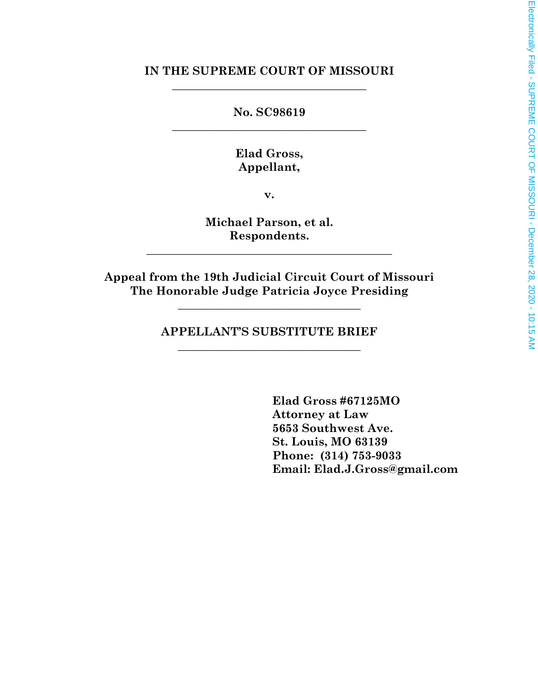### **IN THE SUPREME COURT OF MISSOURI** \_\_\_\_\_\_\_\_\_\_\_\_\_\_\_\_\_\_\_\_\_\_\_\_\_\_\_\_\_\_\_\_\_\_

**No. SC98619** \_\_\_\_\_\_\_\_\_\_\_\_\_\_\_\_\_\_\_\_\_\_\_\_\_\_\_\_\_\_\_\_\_\_

> **Elad Gross, Appellant,**

> > **v.**

**Michael Parson, et al. Respondents.**

\_\_\_\_\_\_\_\_\_\_\_\_\_\_\_\_\_\_\_\_\_\_\_\_\_\_\_\_\_\_\_\_\_\_\_\_\_\_\_\_\_\_\_

**Appeal from the 19th Judicial Circuit Court of Missouri The Honorable Judge Patricia Joyce Presiding**

**\_\_\_\_\_\_\_\_\_\_\_\_\_\_\_\_\_\_\_\_\_\_\_\_\_\_\_\_\_\_\_\_**

**APPELLANT'S SUBSTITUTE BRIEF** \_\_\_\_\_\_\_\_\_\_\_\_\_\_\_\_\_\_\_\_\_\_\_\_\_\_\_\_\_\_\_\_

> **Elad Gross #67125MO Attorney at Law 5653 Southwest Ave. St. Louis, MO 63139 Phone: (314) 753-9033 Email: Elad.J.Gross@gmail.com**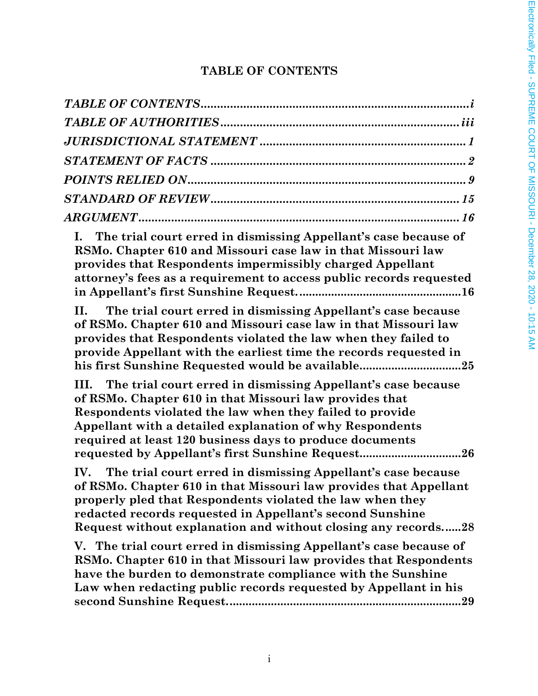# **TABLE OF CONTENTS**

| I. The trial court erred in dismissing Appellant's case because of<br>RSMo. Chapter 610 and Missouri case law in that Missouri law<br>provides that Respondents impermissibly charged Appellant<br>attorney's fees as a requirement to access public records requested                                                                                                   |
|--------------------------------------------------------------------------------------------------------------------------------------------------------------------------------------------------------------------------------------------------------------------------------------------------------------------------------------------------------------------------|
| The trial court erred in dismissing Appellant's case because<br>II. –<br>of RSMo. Chapter 610 and Missouri case law in that Missouri law<br>provides that Respondents violated the law when they failed to<br>provide Appellant with the earliest time the records requested in<br>his first Sunshine Requested would be available25                                     |
| The trial court erred in dismissing Appellant's case because<br>III.<br>of RSMo. Chapter 610 in that Missouri law provides that<br>Respondents violated the law when they failed to provide<br>Appellant with a detailed explanation of why Respondents<br>required at least 120 business days to produce documents<br>requested by Appellant's first Sunshine Request26 |
| The trial court erred in dismissing Appellant's case because<br>IV.<br>of RSMo. Chapter 610 in that Missouri law provides that Appellant<br>properly pled that Respondents violated the law when they<br>redacted records requested in Appellant's second Sunshine<br>Request without explanation and without closing any records28                                      |
| V. The trial court erred in dismissing Appellant's case because of<br>RSMo. Chapter 610 in that Missouri law provides that Respondents<br>have the burden to demonstrate compliance with the Sunshine<br>Law when redacting public records requested by Appellant in his                                                                                                 |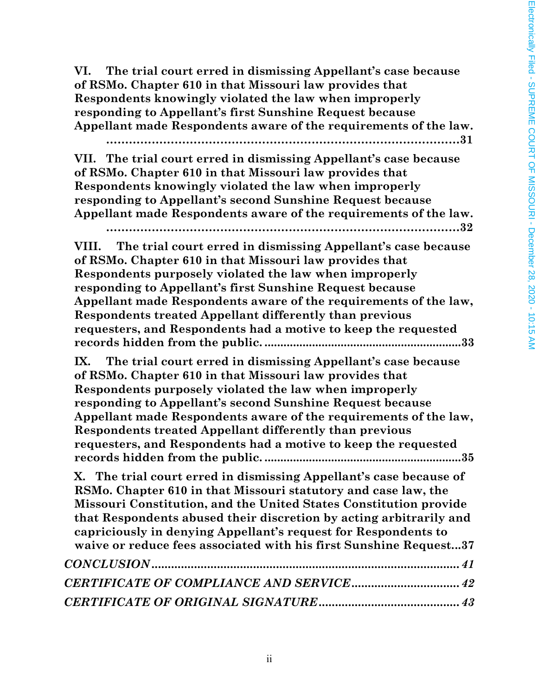**VI. The trial court erred in dismissing Appellant's case because of RSMo. Chapter 610 in that Missouri law provides that Respondents knowingly violated the law when improperly responding to Appellant's first Sunshine Request because Appellant made Respondents aware of the requirements of the law. …………………………………………………………………………………31 VII. The trial court erred in dismissing Appellant's case because of RSMo. Chapter 610 in that Missouri law provides that Respondents knowingly violated the law when improperly responding to Appellant's second Sunshine Request because Appellant made Respondents aware of the requirements of the law. …………………………………………………………………………………32 VIII. The trial court erred in dismissing Appellant's case because of RSMo. Chapter 610 in that Missouri law provides that Respondents purposely violated the law when improperly responding to Appellant's first Sunshine Request because Appellant made Respondents aware of the requirements of the law, Respondents treated Appellant differently than previous requesters, and Respondents had a motive to keep the requested records hidden from the public. ..............................................................33 IX. The trial court erred in dismissing Appellant's case because of RSMo. Chapter 610 in that Missouri law provides that Respondents purposely violated the law when improperly responding to Appellant's second Sunshine Request because Appellant made Respondents aware of the requirements of the law, Respondents treated Appellant differently than previous requesters, and Respondents had a motive to keep the requested records hidden from the public. ..............................................................35 X. The trial court erred in dismissing Appellant's case because of RSMo. Chapter 610 in that Missouri statutory and case law, the Missouri Constitution, and the United States Constitution provide that Respondents abused their discretion by acting arbitrarily and capriciously in denying Appellant's request for Respondents to waive or reduce fees associated with his first Sunshine Request...37** *CONCLUSION ..............................................................................................41 CERTIFICATE OF COMPLIANCE AND SERVICE.................................42 CERTIFICATE OF ORIGINAL SIGNATURE...........................................43*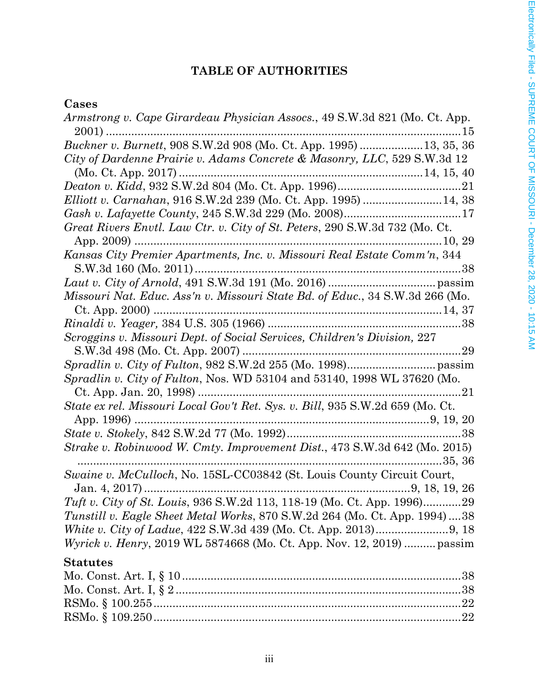# **TABLE OF AUTHORITIES**

# **Cases**

| Armstrong v. Cape Girardeau Physician Assocs., 49 S.W.3d 821 (Mo. Ct. App.    |
|-------------------------------------------------------------------------------|
|                                                                               |
| City of Dardenne Prairie v. Adams Concrete & Masonry, LLC, 529 S.W.3d 12      |
|                                                                               |
|                                                                               |
|                                                                               |
|                                                                               |
| Great Rivers Envtl. Law Ctr. v. City of St. Peters, 290 S.W.3d 732 (Mo. Ct.)  |
|                                                                               |
|                                                                               |
|                                                                               |
|                                                                               |
| Missouri Nat. Educ. Ass'n v. Missouri State Bd. of Educ., 34 S.W.3d 266 (Mo.  |
|                                                                               |
|                                                                               |
| Scroggins v. Missouri Dept. of Social Services, Children's Division, 227      |
|                                                                               |
|                                                                               |
| Spradlin v. City of Fulton, Nos. WD 53104 and 53140, 1998 WL 37620 (Mo.       |
|                                                                               |
| State ex rel. Missouri Local Gov't Ret. Sys. v. Bill, 935 S.W.2d 659 (Mo. Ct. |
|                                                                               |
|                                                                               |
| Strake v. Robinwood W. Cmty. Improvement Dist., 473 S.W.3d 642 (Mo. 2015)     |
|                                                                               |
| Swaine v. McCulloch, No. 15SL-CC03842 (St. Louis County Circuit Court,        |
|                                                                               |
| Tuft v. City of St. Louis, 936 S.W.2d 113, 118-19 (Mo. Ct. App. 1996)29       |
| Tunstill v. Eagle Sheet Metal Works, 870 S.W.2d 264 (Mo. Ct. App. 1994)38     |
|                                                                               |
| <i>Wyrick v. Henry</i> , 2019 WL 5874668 (Mo. Ct. App. Nov. 12, 2019)  passim |
| <b>Statutes</b>                                                               |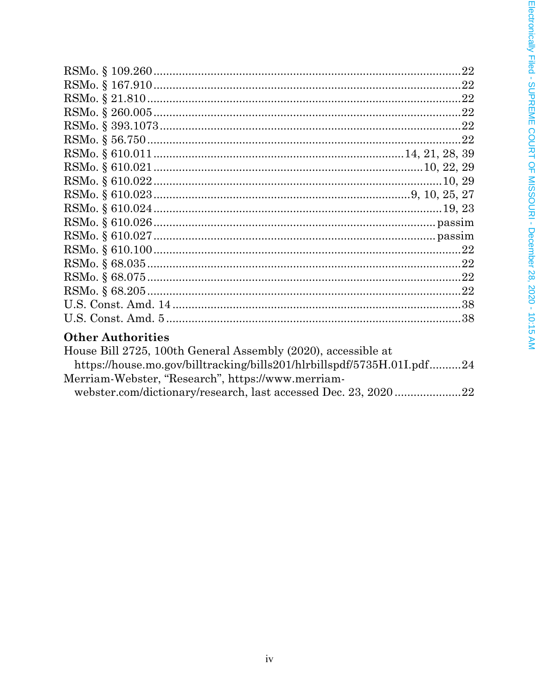| <b>Other Authorities</b>                                               |  |
|------------------------------------------------------------------------|--|
| House Bill 2725, 100th General Assembly (2020), accessible at          |  |
| https://house.mo.gov/billtracking/bills201/hlrbillspdf/5735H.01I.pdf24 |  |

webster.com/dictionary/research, last accessed Dec. 23, 2020 ....................22

Merriam-Webster, "Research", https://www.merriam-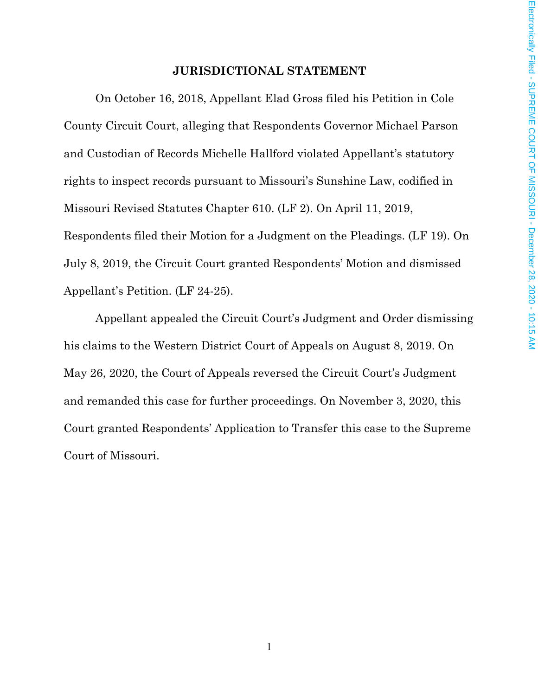#### **JURISDICTIONAL STATEMENT**

On October 16, 2018, Appellant Elad Gross filed his Petition in Cole County Circuit Court, alleging that Respondents Governor Michael Parson and Custodian of Records Michelle Hallford violated Appellant's statutory rights to inspect records pursuant to Missouri's Sunshine Law, codified in Missouri Revised Statutes Chapter 610. (LF 2). On April 11, 2019, Respondents filed their Motion for a Judgment on the Pleadings. (LF 19). On July 8, 2019, the Circuit Court granted Respondents' Motion and dismissed Appellant's Petition. (LF 24-25).

Appellant appealed the Circuit Court's Judgment and Order dismissing his claims to the Western District Court of Appeals on August 8, 2019. On May 26, 2020, the Court of Appeals reversed the Circuit Court's Judgment and remanded this case for further proceedings. On November 3, 2020, this Court granted Respondents' Application to Transfer this case to the Supreme Court of Missouri.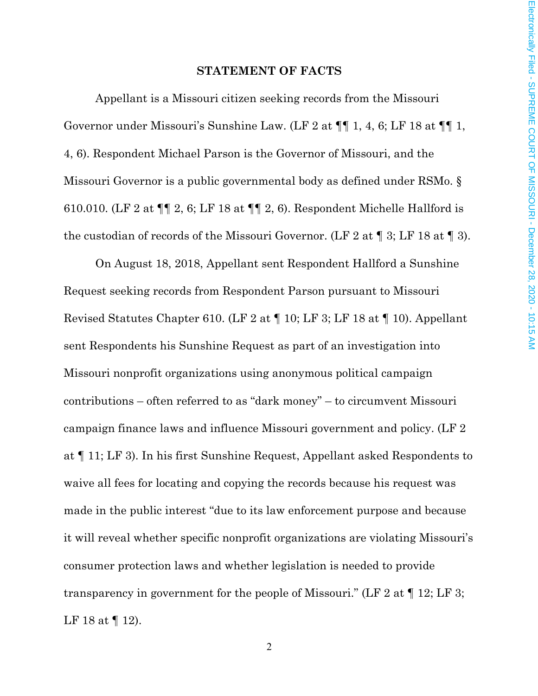#### **STATEMENT OF FACTS**

Appellant is a Missouri citizen seeking records from the Missouri Governor under Missouri's Sunshine Law. (LF 2 at ¶¶ 1, 4, 6; LF 18 at ¶¶ 1, 4, 6). Respondent Michael Parson is the Governor of Missouri, and the Missouri Governor is a public governmental body as defined under RSMo. § 610.010. (LF 2 at ¶¶ 2, 6; LF 18 at ¶¶ 2, 6). Respondent Michelle Hallford is the custodian of records of the Missouri Governor. (LF 2 at ¶ 3; LF 18 at ¶ 3).

On August 18, 2018, Appellant sent Respondent Hallford a Sunshine Request seeking records from Respondent Parson pursuant to Missouri Revised Statutes Chapter 610. (LF 2 at ¶ 10; LF 3; LF 18 at ¶ 10). Appellant sent Respondents his Sunshine Request as part of an investigation into Missouri nonprofit organizations using anonymous political campaign contributions – often referred to as "dark money" – to circumvent Missouri campaign finance laws and influence Missouri government and policy. (LF 2 at ¶ 11; LF 3). In his first Sunshine Request, Appellant asked Respondents to waive all fees for locating and copying the records because his request was made in the public interest "due to its law enforcement purpose and because it will reveal whether specific nonprofit organizations are violating Missouri's consumer protection laws and whether legislation is needed to provide transparency in government for the people of Missouri." (LF 2 at  $\P$  12; LF 3; LF 18 at ¶ 12).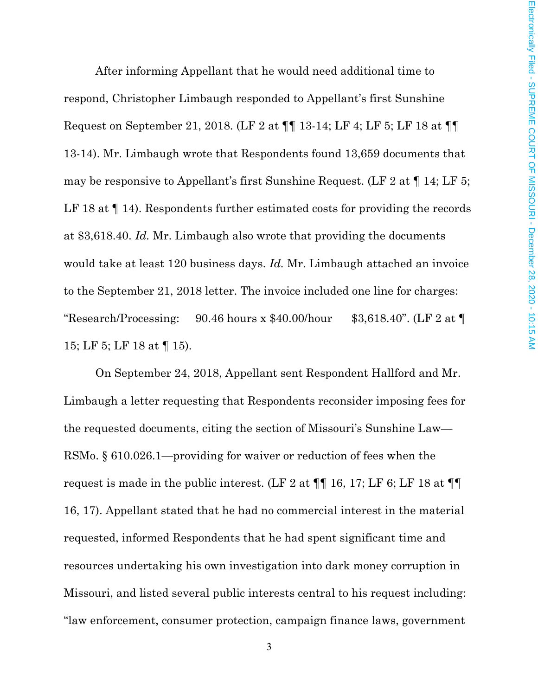After informing Appellant that he would need additional time to respond, Christopher Limbaugh responded to Appellant's first Sunshine Request on September 21, 2018. (LF 2 at ¶¶ 13-14; LF 4; LF 5; LF 18 at ¶¶ 13-14). Mr. Limbaugh wrote that Respondents found 13,659 documents that may be responsive to Appellant's first Sunshine Request. (LF 2 at ¶ 14; LF 5; LF 18 at  $\P$  14). Respondents further estimated costs for providing the records at \$3,618.40. *Id.* Mr. Limbaugh also wrote that providing the documents would take at least 120 business days. *Id.* Mr. Limbaugh attached an invoice to the September 21, 2018 letter. The invoice included one line for charges: "Research/Processing:  $90.46$  hours x \$40.00/hour \$3,618.40". (LF 2 at  $\P$ 15; LF 5; LF 18 at ¶ 15).

On September 24, 2018, Appellant sent Respondent Hallford and Mr. Limbaugh a letter requesting that Respondents reconsider imposing fees for the requested documents, citing the section of Missouri's Sunshine Law— RSMo. § 610.026.1—providing for waiver or reduction of fees when the request is made in the public interest. (LF 2 at  $\P\P$  16, 17; LF 6; LF 18 at  $\P\P$ 16, 17). Appellant stated that he had no commercial interest in the material requested, informed Respondents that he had spent significant time and resources undertaking his own investigation into dark money corruption in Missouri, and listed several public interests central to his request including: "law enforcement, consumer protection, campaign finance laws, government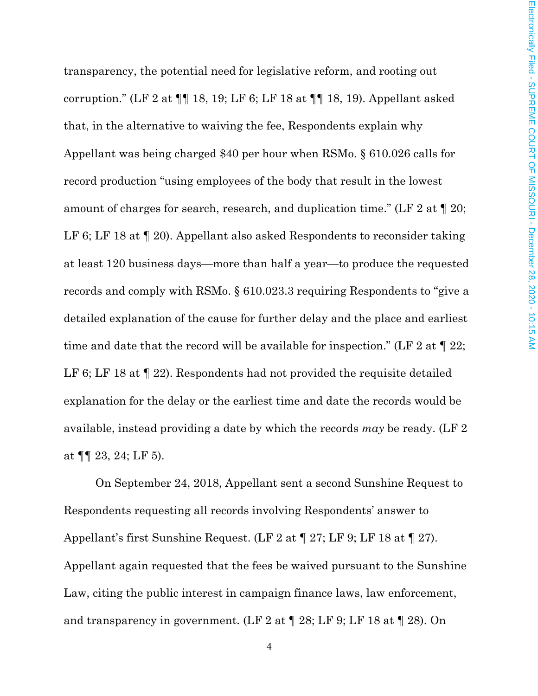transparency, the potential need for legislative reform, and rooting out corruption." (LF 2 at  $\P\P$  18, 19; LF 6; LF 18 at  $\P\P$  18, 19). Appellant asked that, in the alternative to waiving the fee, Respondents explain why Appellant was being charged \$40 per hour when RSMo. § 610.026 calls for record production "using employees of the body that result in the lowest amount of charges for search, research, and duplication time." (LF 2 at ¶ 20; LF 6; LF 18 at  $\P$  20). Appellant also asked Respondents to reconsider taking at least 120 business days—more than half a year—to produce the requested records and comply with RSMo. § 610.023.3 requiring Respondents to "give a detailed explanation of the cause for further delay and the place and earliest time and date that the record will be available for inspection." (LF 2 at  $\P$  22; LF 6; LF 18 at  $\P$  22). Respondents had not provided the requisite detailed explanation for the delay or the earliest time and date the records would be available, instead providing a date by which the records *may* be ready. (LF 2 at  $\P\P$  23, 24; LF 5).

On September 24, 2018, Appellant sent a second Sunshine Request to Respondents requesting all records involving Respondents' answer to Appellant's first Sunshine Request. (LF 2 at ¶ 27; LF 9; LF 18 at ¶ 27). Appellant again requested that the fees be waived pursuant to the Sunshine Law, citing the public interest in campaign finance laws, law enforcement, and transparency in government. (LF 2 at  $\P$  28; LF 9; LF 18 at  $\P$  28). On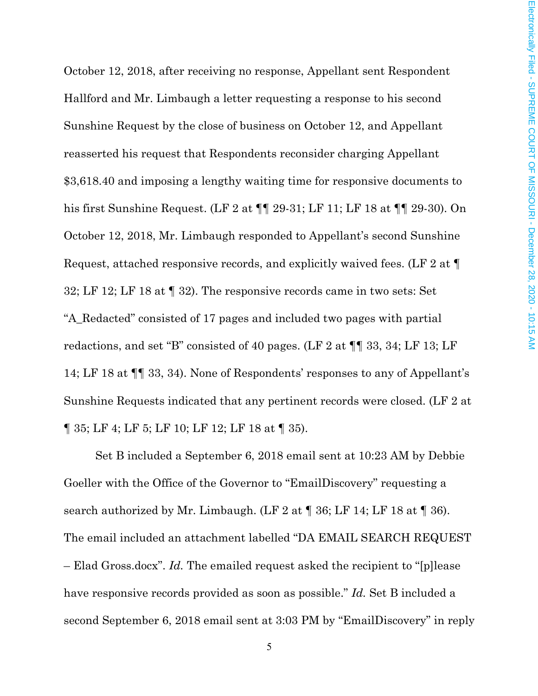October 12, 2018, after receiving no response, Appellant sent Respondent Hallford and Mr. Limbaugh a letter requesting a response to his second Sunshine Request by the close of business on October 12, and Appellant reasserted his request that Respondents reconsider charging Appellant \$3,618.40 and imposing a lengthy waiting time for responsive documents to his first Sunshine Request. (LF 2 at ¶¶ 29-31; LF 11; LF 18 at ¶¶ 29-30). On October 12, 2018, Mr. Limbaugh responded to Appellant's second Sunshine Request, attached responsive records, and explicitly waived fees. (LF 2 at ¶ 32; LF 12; LF 18 at ¶ 32). The responsive records came in two sets: Set "A\_Redacted" consisted of 17 pages and included two pages with partial redactions, and set "B" consisted of 40 pages. (LF 2 at ¶¶ 33, 34; LF 13; LF 14; LF 18 at ¶¶ 33, 34). None of Respondents' responses to any of Appellant's Sunshine Requests indicated that any pertinent records were closed. (LF 2 at ¶ 35; LF 4; LF 5; LF 10; LF 12; LF 18 at ¶ 35).

Set B included a September 6, 2018 email sent at 10:23 AM by Debbie Goeller with the Office of the Governor to "EmailDiscovery" requesting a search authorized by Mr. Limbaugh. (LF 2 at  $\P$  36; LF 14; LF 18 at  $\P$  36). The email included an attachment labelled "DA EMAIL SEARCH REQUEST – Elad Gross.docx". *Id.* The emailed request asked the recipient to "[p]lease have responsive records provided as soon as possible." *Id.* Set B included a second September 6, 2018 email sent at 3:03 PM by "EmailDiscovery" in reply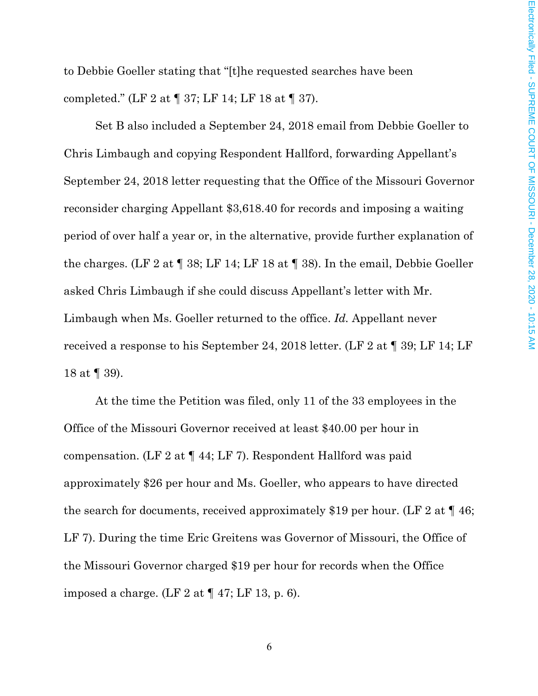to Debbie Goeller stating that "[t]he requested searches have been completed." (LF 2 at ¶ 37; LF 14; LF 18 at ¶ 37).

Set B also included a September 24, 2018 email from Debbie Goeller to Chris Limbaugh and copying Respondent Hallford, forwarding Appellant's September 24, 2018 letter requesting that the Office of the Missouri Governor reconsider charging Appellant \$3,618.40 for records and imposing a waiting period of over half a year or, in the alternative, provide further explanation of the charges. (LF 2 at ¶ 38; LF 14; LF 18 at ¶ 38). In the email, Debbie Goeller asked Chris Limbaugh if she could discuss Appellant's letter with Mr. Limbaugh when Ms. Goeller returned to the office. *Id.* Appellant never received a response to his September 24, 2018 letter. (LF 2 at ¶ 39; LF 14; LF 18 at ¶ 39).

At the time the Petition was filed, only 11 of the 33 employees in the Office of the Missouri Governor received at least \$40.00 per hour in compensation. (LF 2 at ¶ 44; LF 7). Respondent Hallford was paid approximately \$26 per hour and Ms. Goeller, who appears to have directed the search for documents, received approximately \$19 per hour. (LF 2 at  $\P$  46; LF 7). During the time Eric Greitens was Governor of Missouri, the Office of the Missouri Governor charged \$19 per hour for records when the Office imposed a charge. (LF 2 at  $\P$  47; LF 13, p. 6).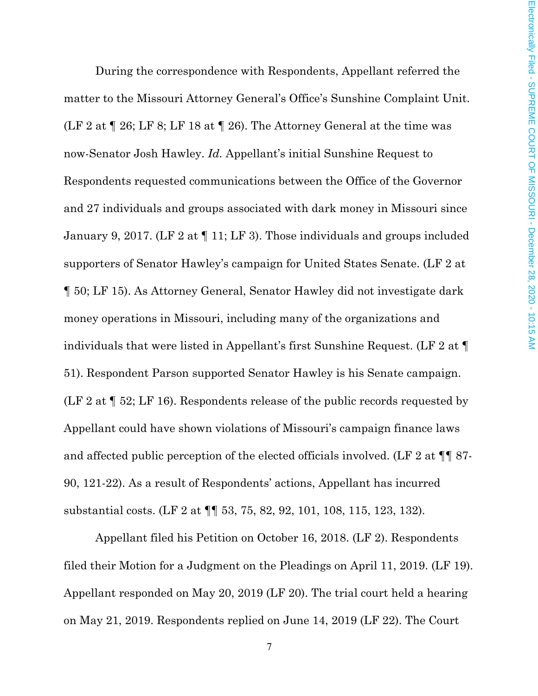During the correspondence with Respondents, Appellant referred the matter to the Missouri Attorney General's Office's Sunshine Complaint Unit. (LF 2 at  $\P$  26; LF 8; LF 18 at  $\P$  26). The Attorney General at the time was now-Senator Josh Hawley. *Id.* Appellant's initial Sunshine Request to Respondents requested communications between the Office of the Governor and 27 individuals and groups associated with dark money in Missouri since January 9, 2017. (LF 2 at ¶ 11; LF 3). Those individuals and groups included supporters of Senator Hawley's campaign for United States Senate. (LF 2 at ¶ 50; LF 15). As Attorney General, Senator Hawley did not investigate dark money operations in Missouri, including many of the organizations and individuals that were listed in Appellant's first Sunshine Request. (LF 2 at ¶ 51). Respondent Parson supported Senator Hawley is his Senate campaign. (LF 2 at ¶ 52; LF 16). Respondents release of the public records requested by Appellant could have shown violations of Missouri's campaign finance laws and affected public perception of the elected officials involved. (LF 2 at ¶¶ 87- 90, 121-22). As a result of Respondents' actions, Appellant has incurred substantial costs. (LF 2 at ¶¶ 53, 75, 82, 92, 101, 108, 115, 123, 132).

Appellant filed his Petition on October 16, 2018. (LF 2). Respondents filed their Motion for a Judgment on the Pleadings on April 11, 2019. (LF 19). Appellant responded on May 20, 2019 (LF 20). The trial court held a hearing on May 21, 2019. Respondents replied on June 14, 2019 (LF 22). The Court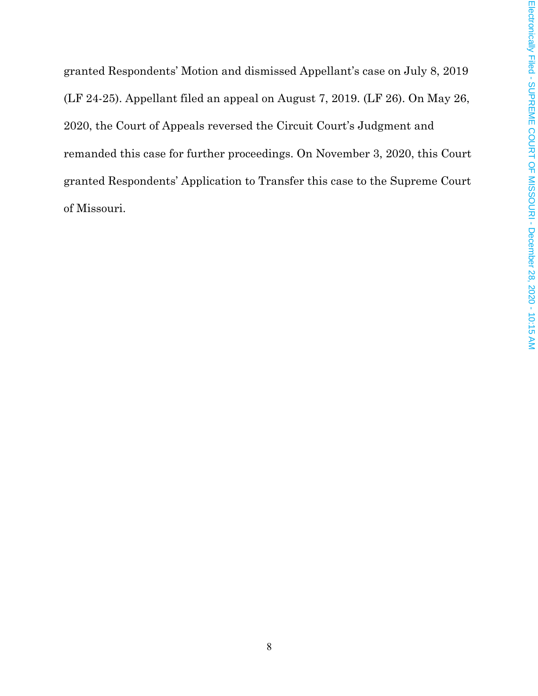granted Respondents' Motion and dismissed Appellant's case on July 8, 2019 (LF 24-25). Appellant filed an appeal on August 7, 2019. (LF 26). On May 26, 2020, the Court of Appeals reversed the Circuit Court's Judgment and remanded this case for further proceedings. On November 3, 2020, this Court granted Respondents' Application to Transfer this case to the Supreme Court of Missouri.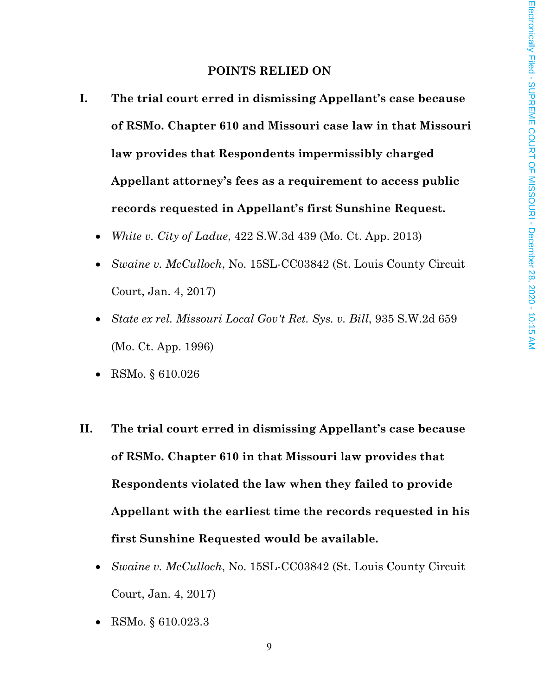### **POINTS RELIED ON**

- **I. The trial court erred in dismissing Appellant's case because of RSMo. Chapter 610 and Missouri case law in that Missouri law provides that Respondents impermissibly charged Appellant attorney's fees as a requirement to access public records requested in Appellant's first Sunshine Request.**
	- *White v. City of Ladue*, 422 S.W.3d 439 (Mo. Ct. App. 2013)
	- *Swaine v. McCulloch*, No. 15SL-CC03842 (St. Louis County Circuit Court, Jan. 4, 2017)
	- *State ex rel. Missouri Local Gov't Ret. Sys. v. Bill*, 935 S.W.2d 659 (Mo. Ct. App. 1996)
	- RSMo. § 610.026
- **II. The trial court erred in dismissing Appellant's case because of RSMo. Chapter 610 in that Missouri law provides that Respondents violated the law when they failed to provide Appellant with the earliest time the records requested in his first Sunshine Requested would be available.**
	- *Swaine v. McCulloch*, No. 15SL-CC03842 (St. Louis County Circuit Court, Jan. 4, 2017)
	- RSMo. § 610.023.3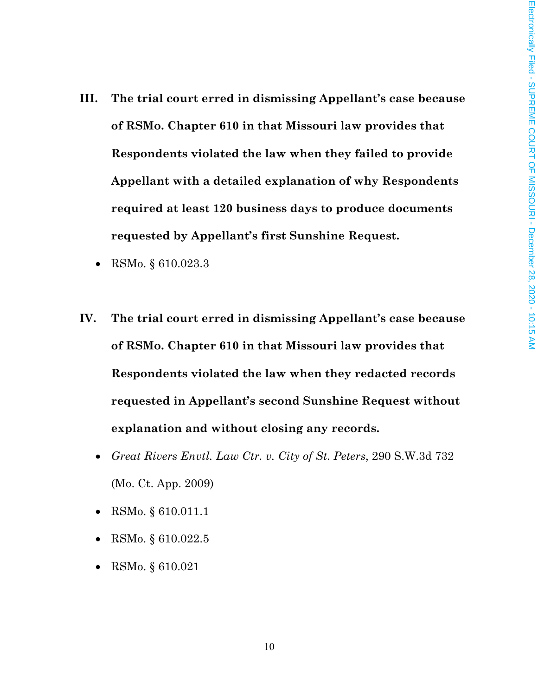- **III. The trial court erred in dismissing Appellant's case because of RSMo. Chapter 610 in that Missouri law provides that Respondents violated the law when they failed to provide Appellant with a detailed explanation of why Respondents required at least 120 business days to produce documents requested by Appellant's first Sunshine Request.**
	- RSMo. § 610.023.3
- **IV. The trial court erred in dismissing Appellant's case because of RSMo. Chapter 610 in that Missouri law provides that Respondents violated the law when they redacted records requested in Appellant's second Sunshine Request without explanation and without closing any records.** 
	- *Great Rivers Envtl. Law Ctr. v. City of St. Peters*, 290 S.W.3d 732 (Mo. Ct. App. 2009)
	- RSMo. § 610.011.1
	- RSMo. § 610.022.5
	- RSMo. § 610.021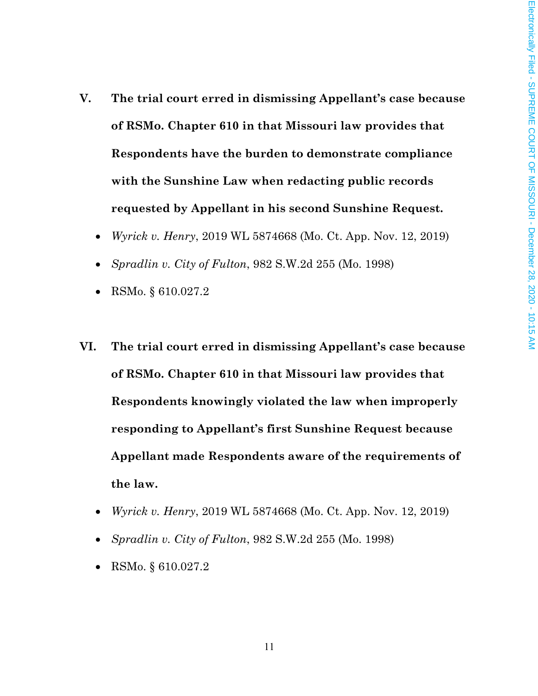- **V. The trial court erred in dismissing Appellant's case because of RSMo. Chapter 610 in that Missouri law provides that Respondents have the burden to demonstrate compliance with the Sunshine Law when redacting public records requested by Appellant in his second Sunshine Request.** 
	- *Wyrick v. Henry*, 2019 WL 5874668 (Mo. Ct. App. Nov. 12, 2019)
	- *Spradlin v. City of Fulton*, 982 S.W.2d 255 (Mo. 1998)
	- RSMo. § 610.027.2
- **VI. The trial court erred in dismissing Appellant's case because of RSMo. Chapter 610 in that Missouri law provides that Respondents knowingly violated the law when improperly responding to Appellant's first Sunshine Request because Appellant made Respondents aware of the requirements of the law.**
	- *Wyrick v. Henry*, 2019 WL 5874668 (Mo. Ct. App. Nov. 12, 2019)
	- *Spradlin v. City of Fulton*, 982 S.W.2d 255 (Mo. 1998)
	- RSMo. § 610.027.2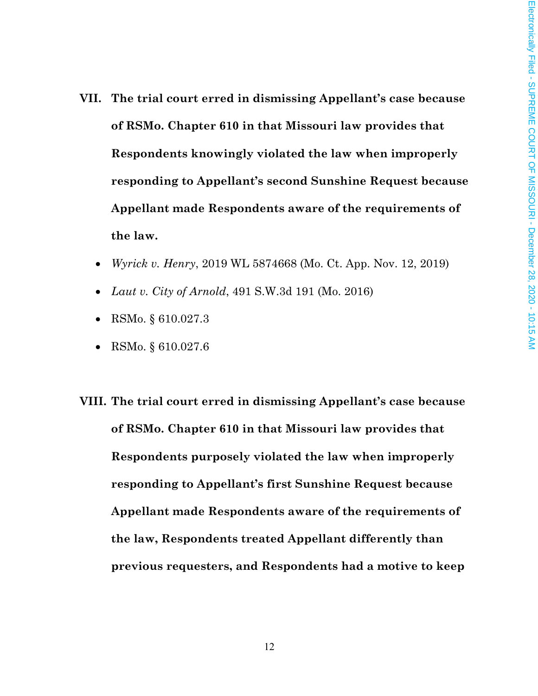- **VII. The trial court erred in dismissing Appellant's case because of RSMo. Chapter 610 in that Missouri law provides that Respondents knowingly violated the law when improperly responding to Appellant's second Sunshine Request because Appellant made Respondents aware of the requirements of the law.**
	- *Wyrick v. Henry*, 2019 WL 5874668 (Mo. Ct. App. Nov. 12, 2019)
	- *Laut v. City of Arnold*, 491 S.W.3d 191 (Mo. 2016)
	- RSMo. § 610.027.3
	- RSMo. § 610.027.6
- **VIII. The trial court erred in dismissing Appellant's case because of RSMo. Chapter 610 in that Missouri law provides that Respondents purposely violated the law when improperly responding to Appellant's first Sunshine Request because Appellant made Respondents aware of the requirements of the law, Respondents treated Appellant differently than previous requesters, and Respondents had a motive to keep**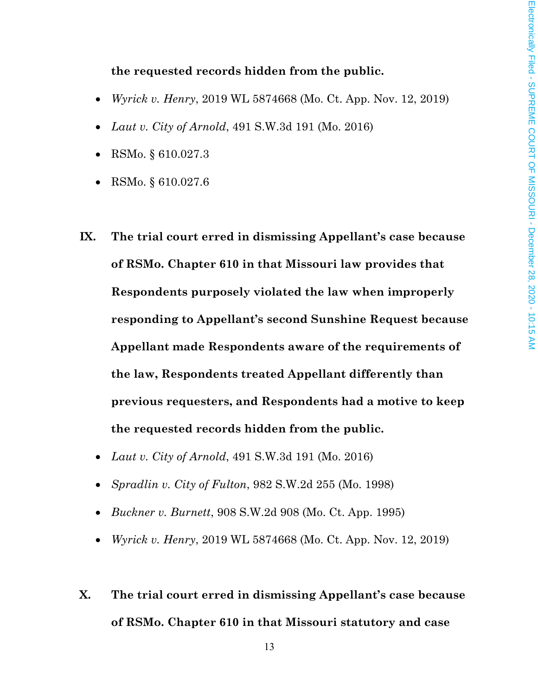## **the requested records hidden from the public.**

- *Wyrick v. Henry*, 2019 WL 5874668 (Mo. Ct. App. Nov. 12, 2019)
- *Laut v. City of Arnold*, 491 S.W.3d 191 (Mo. 2016)
- RSMo. § 610.027.3
- RSMo. § 610.027.6
- **IX. The trial court erred in dismissing Appellant's case because of RSMo. Chapter 610 in that Missouri law provides that Respondents purposely violated the law when improperly responding to Appellant's second Sunshine Request because Appellant made Respondents aware of the requirements of the law, Respondents treated Appellant differently than previous requesters, and Respondents had a motive to keep the requested records hidden from the public.**
	- *Laut v. City of Arnold*, 491 S.W.3d 191 (Mo. 2016)
	- *Spradlin v. City of Fulton*, 982 S.W.2d 255 (Mo. 1998)
	- *Buckner v. Burnett*, 908 S.W.2d 908 (Mo. Ct. App. 1995)
	- *Wyrick v. Henry*, 2019 WL 5874668 (Mo. Ct. App. Nov. 12, 2019)
- **X. The trial court erred in dismissing Appellant's case because of RSMo. Chapter 610 in that Missouri statutory and case**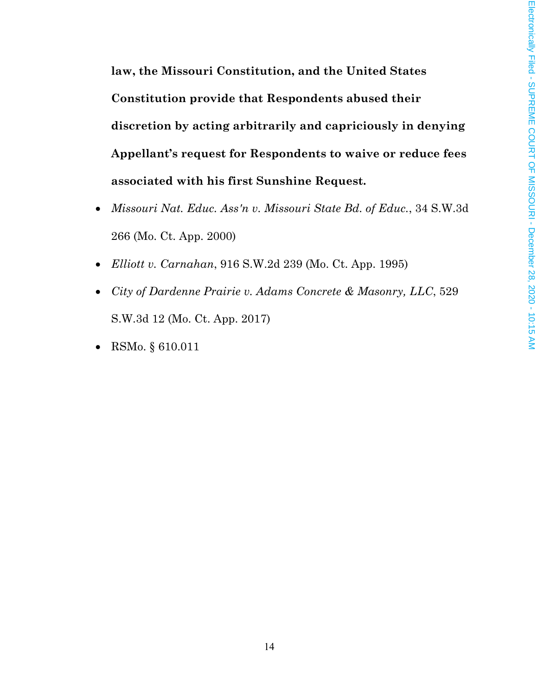**law, the Missouri Constitution, and the United States Constitution provide that Respondents abused their discretion by acting arbitrarily and capriciously in denying Appellant's request for Respondents to waive or reduce fees associated with his first Sunshine Request.**

- *Missouri Nat. Educ. Ass'n v. Missouri State Bd. of Educ.*, 34 S.W.3d 266 (Mo. Ct. App. 2000)
- *Elliott v. Carnahan*, 916 S.W.2d 239 (Mo. Ct. App. 1995)
- *City of Dardenne Prairie v. Adams Concrete & Masonry, LLC*, 529 S.W.3d 12 (Mo. Ct. App. 2017)
- RSMo. § 610.011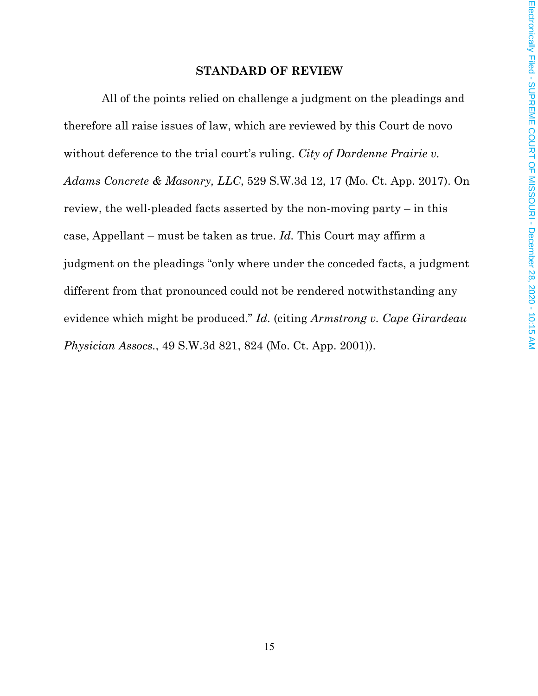### **STANDARD OF REVIEW**

All of the points relied on challenge a judgment on the pleadings and therefore all raise issues of law, which are reviewed by this Court de novo without deference to the trial court's ruling. *City of Dardenne Prairie v. Adams Concrete & Masonry, LLC*, 529 S.W.3d 12, 17 (Mo. Ct. App. 2017). On review, the well-pleaded facts asserted by the non-moving party – in this case, Appellant – must be taken as true. *Id.* This Court may affirm a judgment on the pleadings "only where under the conceded facts, a judgment different from that pronounced could not be rendered notwithstanding any evidence which might be produced." *Id.* (citing *Armstrong v. Cape Girardeau Physician Assocs.*, 49 S.W.3d 821, 824 (Mo. Ct. App. 2001)).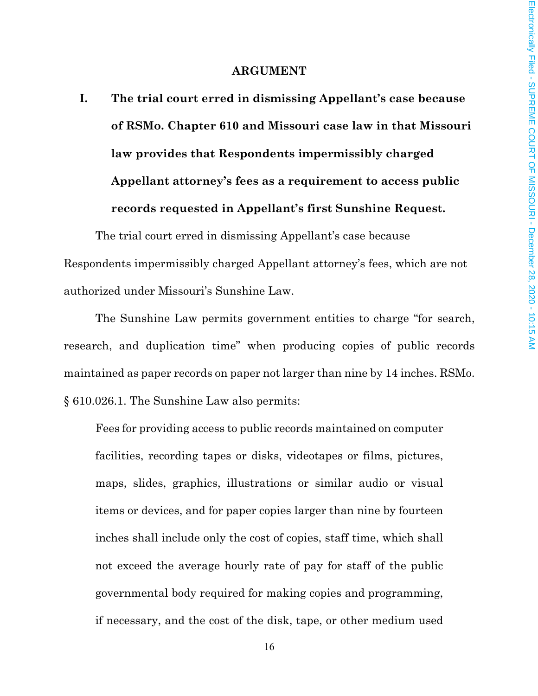#### **ARGUMENT**

**I. The trial court erred in dismissing Appellant's case because of RSMo. Chapter 610 and Missouri case law in that Missouri law provides that Respondents impermissibly charged Appellant attorney's fees as a requirement to access public records requested in Appellant's first Sunshine Request.**

The trial court erred in dismissing Appellant's case because Respondents impermissibly charged Appellant attorney's fees, which are not authorized under Missouri's Sunshine Law.

The Sunshine Law permits government entities to charge "for search, research, and duplication time" when producing copies of public records maintained as paper records on paper not larger than nine by 14 inches. RSMo. § 610.026.1. The Sunshine Law also permits:

Fees for providing access to public records maintained on computer facilities, recording tapes or disks, videotapes or films, pictures, maps, slides, graphics, illustrations or similar audio or visual items or devices, and for paper copies larger than nine by fourteen inches shall include only the cost of copies, staff time, which shall not exceed the average hourly rate of pay for staff of the public governmental body required for making copies and programming, if necessary, and the cost of the disk, tape, or other medium used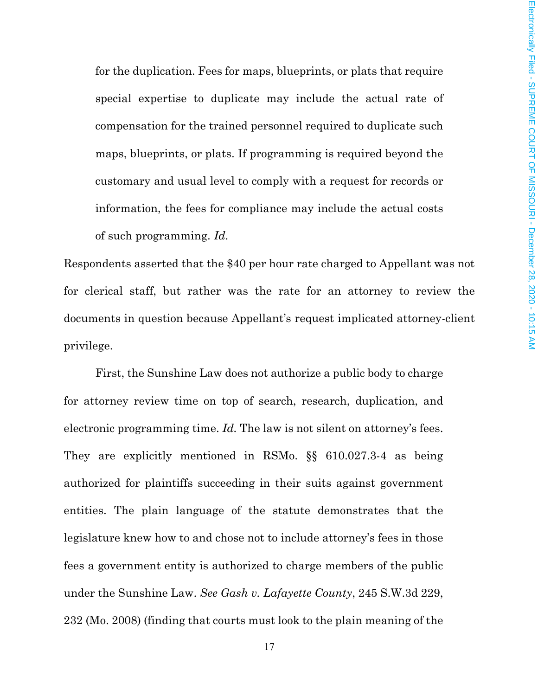for the duplication. Fees for maps, blueprints, or plats that require special expertise to duplicate may include the actual rate of compensation for the trained personnel required to duplicate such maps, blueprints, or plats. If programming is required beyond the customary and usual level to comply with a request for records or information, the fees for compliance may include the actual costs of such programming. *Id.*

Respondents asserted that the \$40 per hour rate charged to Appellant was not for clerical staff, but rather was the rate for an attorney to review the documents in question because Appellant's request implicated attorney-client privilege.

First, the Sunshine Law does not authorize a public body to charge for attorney review time on top of search, research, duplication, and electronic programming time. *Id.* The law is not silent on attorney's fees. They are explicitly mentioned in RSMo. §§ 610.027.3-4 as being authorized for plaintiffs succeeding in their suits against government entities. The plain language of the statute demonstrates that the legislature knew how to and chose not to include attorney's fees in those fees a government entity is authorized to charge members of the public under the Sunshine Law. *See Gash v. Lafayette County*, 245 S.W.3d 229, 232 (Mo. 2008) (finding that courts must look to the plain meaning of the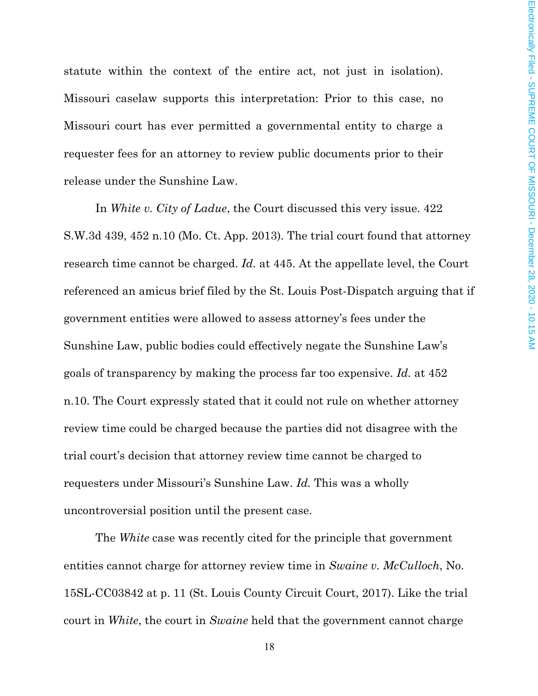statute within the context of the entire act, not just in isolation). Missouri caselaw supports this interpretation: Prior to this case, no Missouri court has ever permitted a governmental entity to charge a requester fees for an attorney to review public documents prior to their release under the Sunshine Law.

In *White v. City of Ladue*, the Court discussed this very issue. 422 S.W.3d 439, 452 n.10 (Mo. Ct. App. 2013). The trial court found that attorney research time cannot be charged. *Id.* at 445. At the appellate level, the Court referenced an amicus brief filed by the St. Louis Post-Dispatch arguing that if government entities were allowed to assess attorney's fees under the Sunshine Law, public bodies could effectively negate the Sunshine Law's goals of transparency by making the process far too expensive. *Id.* at 452 n.10. The Court expressly stated that it could not rule on whether attorney review time could be charged because the parties did not disagree with the trial court's decision that attorney review time cannot be charged to requesters under Missouri's Sunshine Law. *Id.* This was a wholly uncontroversial position until the present case.

The *White* case was recently cited for the principle that government entities cannot charge for attorney review time in *Swaine v. McCulloch*, No. 15SL-CC03842 at p. 11 (St. Louis County Circuit Court, 2017). Like the trial court in *White*, the court in *Swaine* held that the government cannot charge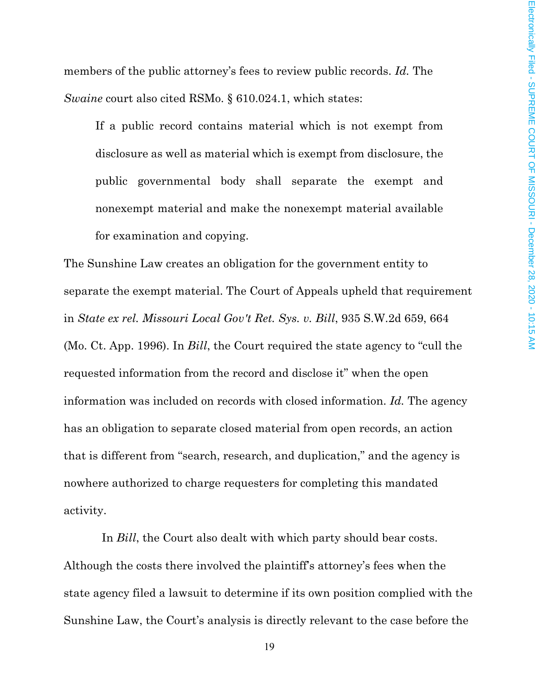members of the public attorney's fees to review public records. *Id.* The *Swaine* court also cited RSMo. § 610.024.1, which states:

If a public record contains material which is not exempt from disclosure as well as material which is exempt from disclosure, the public governmental body shall separate the exempt and nonexempt material and make the nonexempt material available for examination and copying.

The Sunshine Law creates an obligation for the government entity to separate the exempt material. The Court of Appeals upheld that requirement in *State ex rel. Missouri Local Gov't Ret. Sys. v. Bill*, 935 S.W.2d 659, 664 (Mo. Ct. App. 1996). In *Bill*, the Court required the state agency to "cull the requested information from the record and disclose it" when the open information was included on records with closed information. *Id.* The agency has an obligation to separate closed material from open records, an action that is different from "search, research, and duplication," and the agency is nowhere authorized to charge requesters for completing this mandated activity.

In *Bill*, the Court also dealt with which party should bear costs. Although the costs there involved the plaintiff's attorney's fees when the state agency filed a lawsuit to determine if its own position complied with the Sunshine Law, the Court's analysis is directly relevant to the case before the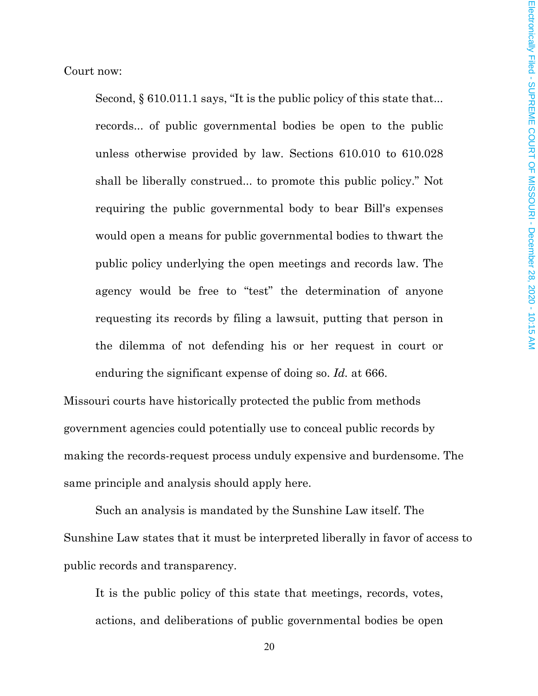Court now:

Second, § 610.011.1 says, "It is the public policy of this state that... records... of public governmental bodies be open to the public unless otherwise provided by law. Sections 610.010 to 610.028 shall be liberally construed... to promote this public policy." Not requiring the public governmental body to bear Bill's expenses would open a means for public governmental bodies to thwart the public policy underlying the open meetings and records law. The agency would be free to "test" the determination of anyone requesting its records by filing a lawsuit, putting that person in the dilemma of not defending his or her request in court or enduring the significant expense of doing so. *Id.* at 666.

Missouri courts have historically protected the public from methods government agencies could potentially use to conceal public records by making the records-request process unduly expensive and burdensome. The same principle and analysis should apply here.

Such an analysis is mandated by the Sunshine Law itself. The Sunshine Law states that it must be interpreted liberally in favor of access to public records and transparency.

It is the public policy of this state that meetings, records, votes, actions, and deliberations of public governmental bodies be open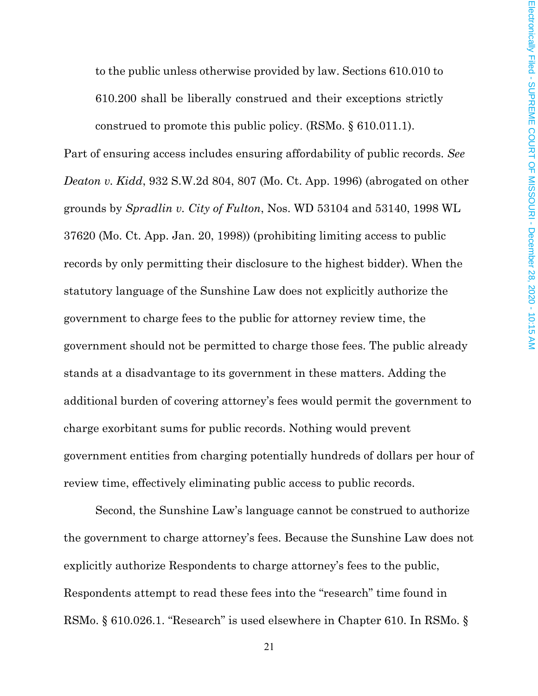to the public unless otherwise provided by law. Sections 610.010 to 610.200 shall be liberally construed and their exceptions strictly construed to promote this public policy. (RSMo. § 610.011.1).

Part of ensuring access includes ensuring affordability of public records. *See Deaton v. Kidd*, 932 S.W.2d 804, 807 (Mo. Ct. App. 1996) (abrogated on other grounds by *Spradlin v. City of Fulton*, Nos. WD 53104 and 53140, 1998 WL 37620 (Mo. Ct. App. Jan. 20, 1998)) (prohibiting limiting access to public records by only permitting their disclosure to the highest bidder). When the statutory language of the Sunshine Law does not explicitly authorize the government to charge fees to the public for attorney review time, the government should not be permitted to charge those fees. The public already stands at a disadvantage to its government in these matters. Adding the additional burden of covering attorney's fees would permit the government to charge exorbitant sums for public records. Nothing would prevent government entities from charging potentially hundreds of dollars per hour of review time, effectively eliminating public access to public records.

Second, the Sunshine Law's language cannot be construed to authorize the government to charge attorney's fees. Because the Sunshine Law does not explicitly authorize Respondents to charge attorney's fees to the public, Respondents attempt to read these fees into the "research" time found in RSMo. § 610.026.1. "Research" is used elsewhere in Chapter 610. In RSMo. §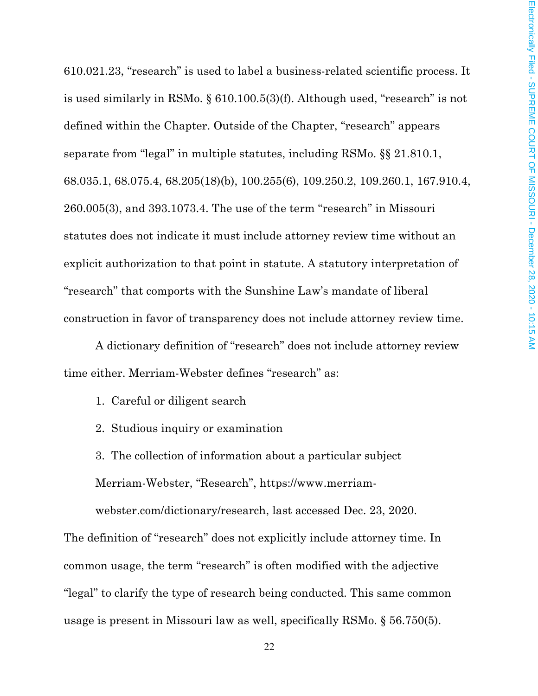610.021.23, "research" is used to label a business-related scientific process. It is used similarly in RSMo. § 610.100.5(3)(f). Although used, "research" is not defined within the Chapter. Outside of the Chapter, "research" appears separate from "legal" in multiple statutes, including RSMo. §§ 21.810.1, 68.035.1, 68.075.4, 68.205(18)(b), 100.255(6), 109.250.2, 109.260.1, 167.910.4, 260.005(3), and 393.1073.4. The use of the term "research" in Missouri statutes does not indicate it must include attorney review time without an explicit authorization to that point in statute. A statutory interpretation of "research" that comports with the Sunshine Law's mandate of liberal construction in favor of transparency does not include attorney review time.

A dictionary definition of "research" does not include attorney review time either. Merriam-Webster defines "research" as:

1. Careful or diligent search

2. Studious inquiry or examination

3. The collection of information about a particular subject Merriam-Webster, "Research", https://www.merriam-

webster.com/dictionary/research, last accessed Dec. 23, 2020.

The definition of "research" does not explicitly include attorney time. In common usage, the term "research" is often modified with the adjective "legal" to clarify the type of research being conducted. This same common usage is present in Missouri law as well, specifically RSMo. § 56.750(5).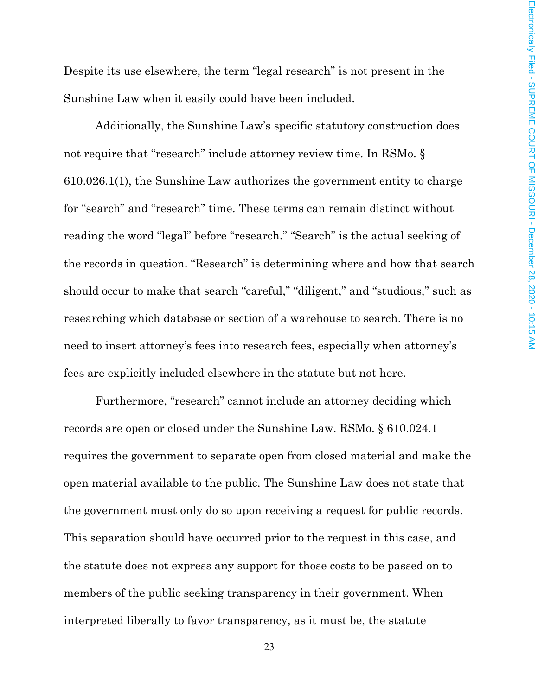Despite its use elsewhere, the term "legal research" is not present in the Sunshine Law when it easily could have been included.

Additionally, the Sunshine Law's specific statutory construction does not require that "research" include attorney review time. In RSMo. § 610.026.1(1), the Sunshine Law authorizes the government entity to charge for "search" and "research" time. These terms can remain distinct without reading the word "legal" before "research." "Search" is the actual seeking of the records in question. "Research" is determining where and how that search should occur to make that search "careful," "diligent," and "studious," such as researching which database or section of a warehouse to search. There is no need to insert attorney's fees into research fees, especially when attorney's fees are explicitly included elsewhere in the statute but not here.

Furthermore, "research" cannot include an attorney deciding which records are open or closed under the Sunshine Law. RSMo. § 610.024.1 requires the government to separate open from closed material and make the open material available to the public. The Sunshine Law does not state that the government must only do so upon receiving a request for public records. This separation should have occurred prior to the request in this case, and the statute does not express any support for those costs to be passed on to members of the public seeking transparency in their government. When interpreted liberally to favor transparency, as it must be, the statute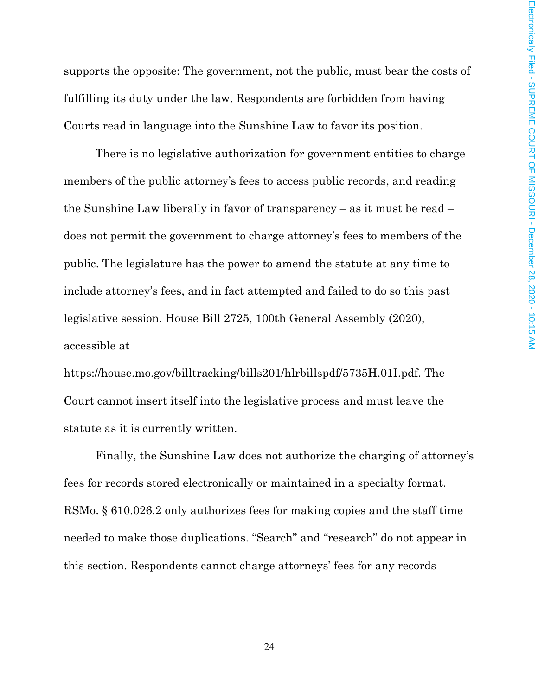supports the opposite: The government, not the public, must bear the costs of fulfilling its duty under the law. Respondents are forbidden from having Courts read in language into the Sunshine Law to favor its position.

There is no legislative authorization for government entities to charge members of the public attorney's fees to access public records, and reading the Sunshine Law liberally in favor of transparency – as it must be read – does not permit the government to charge attorney's fees to members of the public. The legislature has the power to amend the statute at any time to include attorney's fees, and in fact attempted and failed to do so this past legislative session. House Bill 2725, 100th General Assembly (2020), accessible at

https://house.mo.gov/billtracking/bills201/hlrbillspdf/5735H.01I.pdf. The Court cannot insert itself into the legislative process and must leave the statute as it is currently written.

Finally, the Sunshine Law does not authorize the charging of attorney's fees for records stored electronically or maintained in a specialty format. RSMo. § 610.026.2 only authorizes fees for making copies and the staff time needed to make those duplications. "Search" and "research" do not appear in this section. Respondents cannot charge attorneys' fees for any records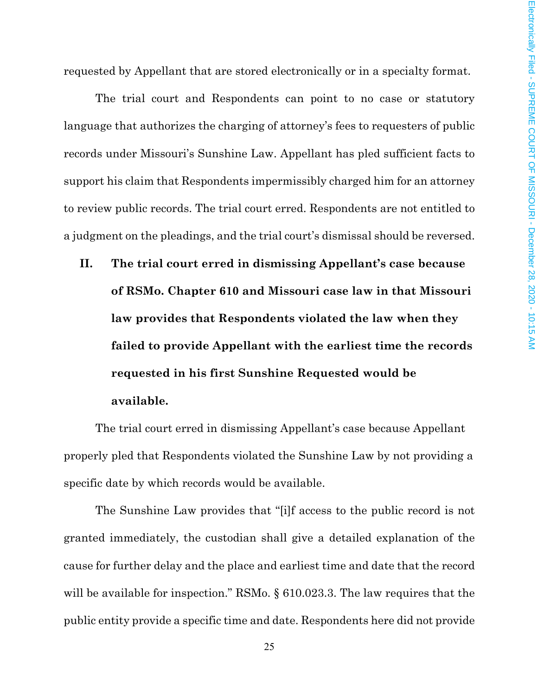requested by Appellant that are stored electronically or in a specialty format.

The trial court and Respondents can point to no case or statutory language that authorizes the charging of attorney's fees to requesters of public records under Missouri's Sunshine Law. Appellant has pled sufficient facts to support his claim that Respondents impermissibly charged him for an attorney to review public records. The trial court erred. Respondents are not entitled to a judgment on the pleadings, and the trial court's dismissal should be reversed.

**II. The trial court erred in dismissing Appellant's case because of RSMo. Chapter 610 and Missouri case law in that Missouri law provides that Respondents violated the law when they failed to provide Appellant with the earliest time the records requested in his first Sunshine Requested would be available.**

The trial court erred in dismissing Appellant's case because Appellant properly pled that Respondents violated the Sunshine Law by not providing a specific date by which records would be available.

The Sunshine Law provides that "[i]f access to the public record is not granted immediately, the custodian shall give a detailed explanation of the cause for further delay and the place and earliest time and date that the record will be available for inspection." RSMo. § 610.023.3. The law requires that the public entity provide a specific time and date. Respondents here did not provide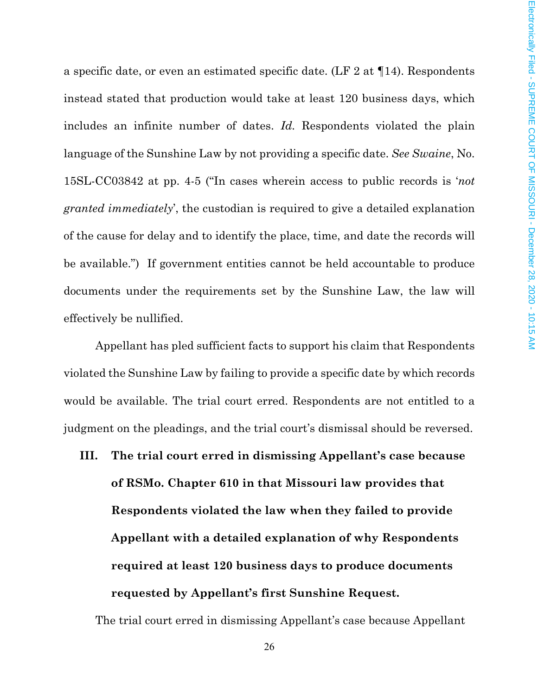a specific date, or even an estimated specific date. (LF 2 at ¶14). Respondents instead stated that production would take at least 120 business days, which includes an infinite number of dates. *Id.* Respondents violated the plain language of the Sunshine Law by not providing a specific date. *See Swaine*, No. 15SL-CC03842 at pp. 4-5 ("In cases wherein access to public records is '*not granted immediately*', the custodian is required to give a detailed explanation of the cause for delay and to identify the place, time, and date the records will be available.") If government entities cannot be held accountable to produce documents under the requirements set by the Sunshine Law, the law will effectively be nullified.

Appellant has pled sufficient facts to support his claim that Respondents violated the Sunshine Law by failing to provide a specific date by which records would be available. The trial court erred. Respondents are not entitled to a judgment on the pleadings, and the trial court's dismissal should be reversed.

**III. The trial court erred in dismissing Appellant's case because of RSMo. Chapter 610 in that Missouri law provides that Respondents violated the law when they failed to provide Appellant with a detailed explanation of why Respondents required at least 120 business days to produce documents requested by Appellant's first Sunshine Request.**

The trial court erred in dismissing Appellant's case because Appellant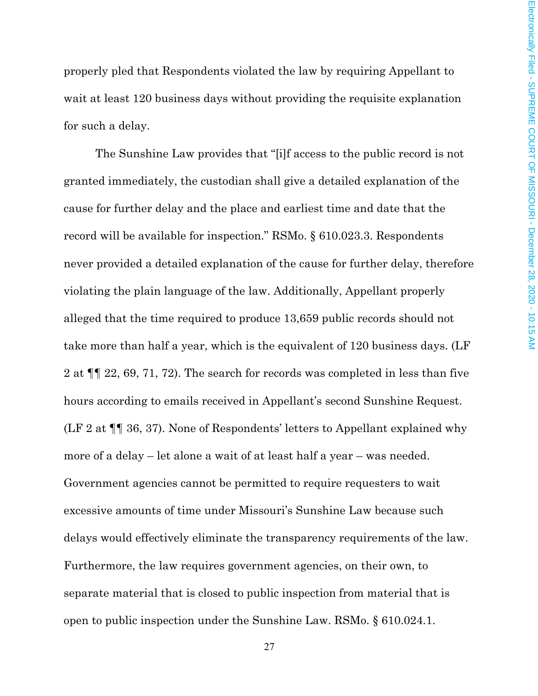properly pled that Respondents violated the law by requiring Appellant to wait at least 120 business days without providing the requisite explanation for such a delay.

The Sunshine Law provides that "[i]f access to the public record is not granted immediately, the custodian shall give a detailed explanation of the cause for further delay and the place and earliest time and date that the record will be available for inspection." RSMo. § 610.023.3. Respondents never provided a detailed explanation of the cause for further delay, therefore violating the plain language of the law. Additionally, Appellant properly alleged that the time required to produce 13,659 public records should not take more than half a year, which is the equivalent of 120 business days. (LF 2 at ¶¶ 22, 69, 71, 72). The search for records was completed in less than five hours according to emails received in Appellant's second Sunshine Request. (LF 2 at ¶¶ 36, 37). None of Respondents' letters to Appellant explained why more of a delay – let alone a wait of at least half a year – was needed. Government agencies cannot be permitted to require requesters to wait excessive amounts of time under Missouri's Sunshine Law because such delays would effectively eliminate the transparency requirements of the law. Furthermore, the law requires government agencies, on their own, to separate material that is closed to public inspection from material that is open to public inspection under the Sunshine Law. RSMo. § 610.024.1.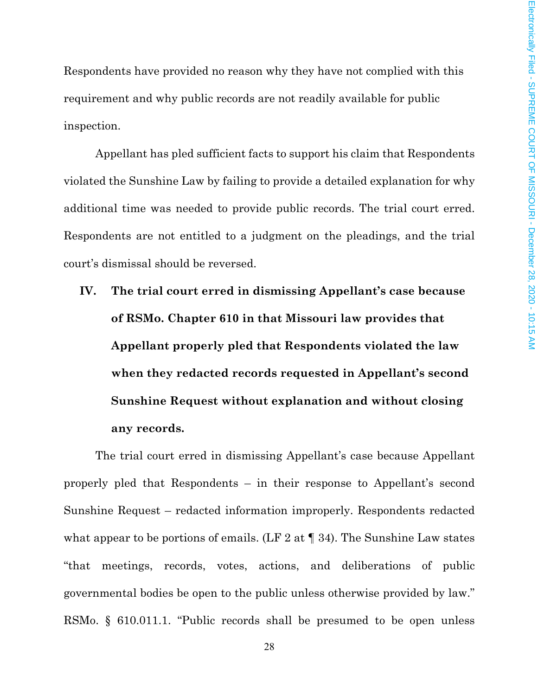Respondents have provided no reason why they have not complied with this requirement and why public records are not readily available for public inspection.

Appellant has pled sufficient facts to support his claim that Respondents violated the Sunshine Law by failing to provide a detailed explanation for why additional time was needed to provide public records. The trial court erred. Respondents are not entitled to a judgment on the pleadings, and the trial court's dismissal should be reversed.

**IV. The trial court erred in dismissing Appellant's case because of RSMo. Chapter 610 in that Missouri law provides that Appellant properly pled that Respondents violated the law when they redacted records requested in Appellant's second Sunshine Request without explanation and without closing any records.**

The trial court erred in dismissing Appellant's case because Appellant properly pled that Respondents – in their response to Appellant's second Sunshine Request – redacted information improperly. Respondents redacted what appear to be portions of emails. (LF 2 at  $\P$  34). The Sunshine Law states "that meetings, records, votes, actions, and deliberations of public governmental bodies be open to the public unless otherwise provided by law." RSMo. § 610.011.1. "Public records shall be presumed to be open unless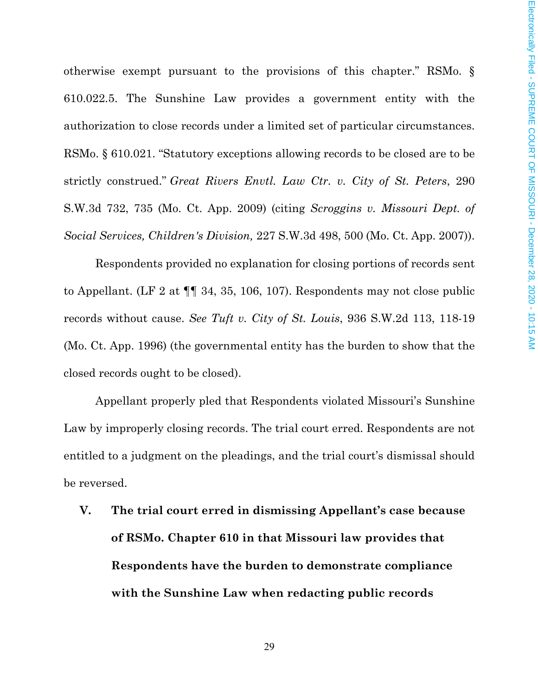otherwise exempt pursuant to the provisions of this chapter." RSMo. § 610.022.5. The Sunshine Law provides a government entity with the authorization to close records under a limited set of particular circumstances. RSMo. § 610.021. "Statutory exceptions allowing records to be closed are to be strictly construed." *Great Rivers Envtl. Law Ctr. v. City of St. Peters*, 290 S.W.3d 732, 735 (Mo. Ct. App. 2009) (citing *Scroggins v. Missouri Dept. of Social Services, Children's Division,* 227 S.W.3d 498, 500 (Mo. Ct. App. 2007)).

Respondents provided no explanation for closing portions of records sent to Appellant. (LF 2 at ¶¶ 34, 35, 106, 107). Respondents may not close public records without cause. *See Tuft v. City of St. Louis*, 936 S.W.2d 113, 118-19 (Mo. Ct. App. 1996) (the governmental entity has the burden to show that the closed records ought to be closed).

Appellant properly pled that Respondents violated Missouri's Sunshine Law by improperly closing records. The trial court erred. Respondents are not entitled to a judgment on the pleadings, and the trial court's dismissal should be reversed.

**V. The trial court erred in dismissing Appellant's case because of RSMo. Chapter 610 in that Missouri law provides that Respondents have the burden to demonstrate compliance with the Sunshine Law when redacting public records**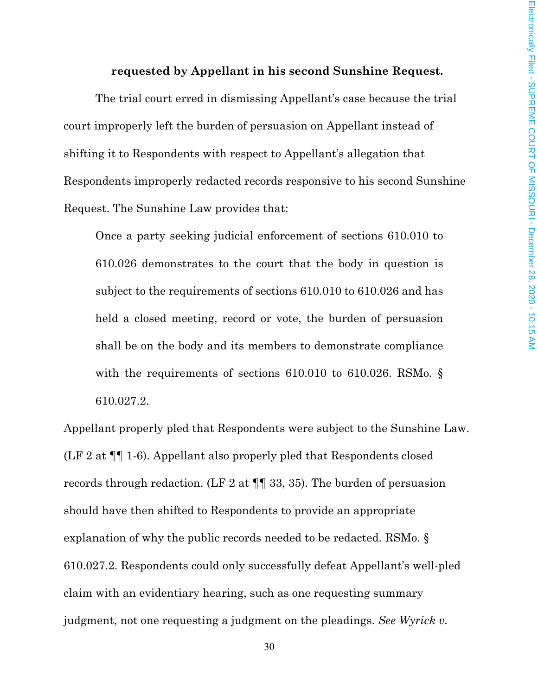#### **requested by Appellant in his second Sunshine Request.**

The trial court erred in dismissing Appellant's case because the trial court improperly left the burden of persuasion on Appellant instead of shifting it to Respondents with respect to Appellant's allegation that Respondents improperly redacted records responsive to his second Sunshine Request. The Sunshine Law provides that:

Once a party seeking judicial enforcement of sections 610.010 to 610.026 demonstrates to the court that the body in question is subject to the requirements of sections 610.010 to 610.026 and has held a closed meeting, record or vote, the burden of persuasion shall be on the body and its members to demonstrate compliance with the requirements of sections 610.010 to 610.026. RSMo.  $\S$ 610.027.2.

Appellant properly pled that Respondents were subject to the Sunshine Law. (LF 2 at ¶¶ 1-6). Appellant also properly pled that Respondents closed records through redaction. (LF 2 at ¶¶ 33, 35). The burden of persuasion should have then shifted to Respondents to provide an appropriate explanation of why the public records needed to be redacted. RSMo. § 610.027.2. Respondents could only successfully defeat Appellant's well-pled claim with an evidentiary hearing, such as one requesting summary judgment, not one requesting a judgment on the pleadings. *See Wyrick v.*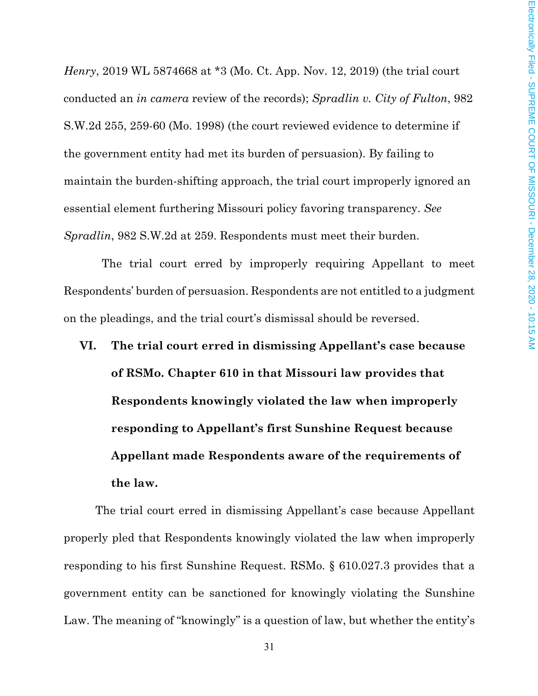*Henry*, 2019 WL 5874668 at \*3 (Mo. Ct. App. Nov. 12, 2019) (the trial court conducted an *in camera* review of the records); *Spradlin v. City of Fulton*, 982 S.W.2d 255, 259-60 (Mo. 1998) (the court reviewed evidence to determine if the government entity had met its burden of persuasion). By failing to maintain the burden-shifting approach, the trial court improperly ignored an essential element furthering Missouri policy favoring transparency. *See Spradlin*, 982 S.W.2d at 259. Respondents must meet their burden.

The trial court erred by improperly requiring Appellant to meet Respondents' burden of persuasion. Respondents are not entitled to a judgment on the pleadings, and the trial court's dismissal should be reversed.

**VI. The trial court erred in dismissing Appellant's case because of RSMo. Chapter 610 in that Missouri law provides that Respondents knowingly violated the law when improperly responding to Appellant's first Sunshine Request because Appellant made Respondents aware of the requirements of the law.**

The trial court erred in dismissing Appellant's case because Appellant properly pled that Respondents knowingly violated the law when improperly responding to his first Sunshine Request. RSMo. § 610.027.3 provides that a government entity can be sanctioned for knowingly violating the Sunshine Law. The meaning of "knowingly" is a question of law, but whether the entity's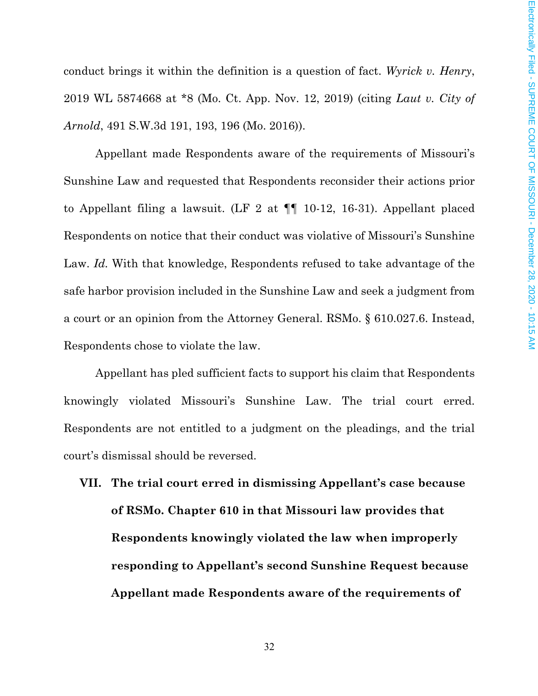conduct brings it within the definition is a question of fact. *Wyrick v. Henry*, 2019 WL 5874668 at \*8 (Mo. Ct. App. Nov. 12, 2019) (citing *Laut v. City of Arnold*, 491 S.W.3d 191, 193, 196 (Mo. 2016)).

Appellant made Respondents aware of the requirements of Missouri's Sunshine Law and requested that Respondents reconsider their actions prior to Appellant filing a lawsuit. (LF 2 at ¶¶ 10-12, 16-31). Appellant placed Respondents on notice that their conduct was violative of Missouri's Sunshine Law. *Id.* With that knowledge, Respondents refused to take advantage of the safe harbor provision included in the Sunshine Law and seek a judgment from a court or an opinion from the Attorney General. RSMo. § 610.027.6. Instead, Respondents chose to violate the law.

Appellant has pled sufficient facts to support his claim that Respondents knowingly violated Missouri's Sunshine Law. The trial court erred. Respondents are not entitled to a judgment on the pleadings, and the trial court's dismissal should be reversed.

**VII. The trial court erred in dismissing Appellant's case because of RSMo. Chapter 610 in that Missouri law provides that Respondents knowingly violated the law when improperly responding to Appellant's second Sunshine Request because Appellant made Respondents aware of the requirements of**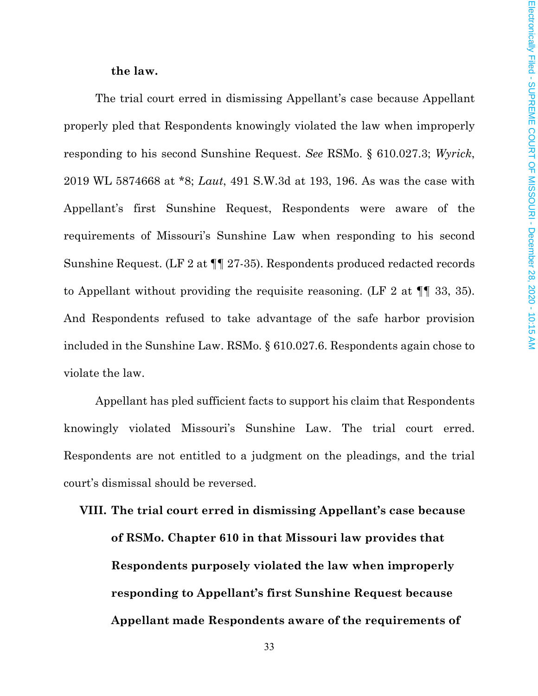#### **the law.**

The trial court erred in dismissing Appellant's case because Appellant properly pled that Respondents knowingly violated the law when improperly responding to his second Sunshine Request. *See* RSMo. § 610.027.3; *Wyrick*, 2019 WL 5874668 at \*8; *Laut*, 491 S.W.3d at 193, 196. As was the case with Appellant's first Sunshine Request, Respondents were aware of the requirements of Missouri's Sunshine Law when responding to his second Sunshine Request. (LF 2 at ¶¶ 27-35). Respondents produced redacted records to Appellant without providing the requisite reasoning. (LF 2 at ¶¶ 33, 35). And Respondents refused to take advantage of the safe harbor provision included in the Sunshine Law. RSMo. § 610.027.6. Respondents again chose to violate the law.

Appellant has pled sufficient facts to support his claim that Respondents knowingly violated Missouri's Sunshine Law. The trial court erred. Respondents are not entitled to a judgment on the pleadings, and the trial court's dismissal should be reversed.

# **VIII. The trial court erred in dismissing Appellant's case because of RSMo. Chapter 610 in that Missouri law provides that Respondents purposely violated the law when improperly responding to Appellant's first Sunshine Request because Appellant made Respondents aware of the requirements of**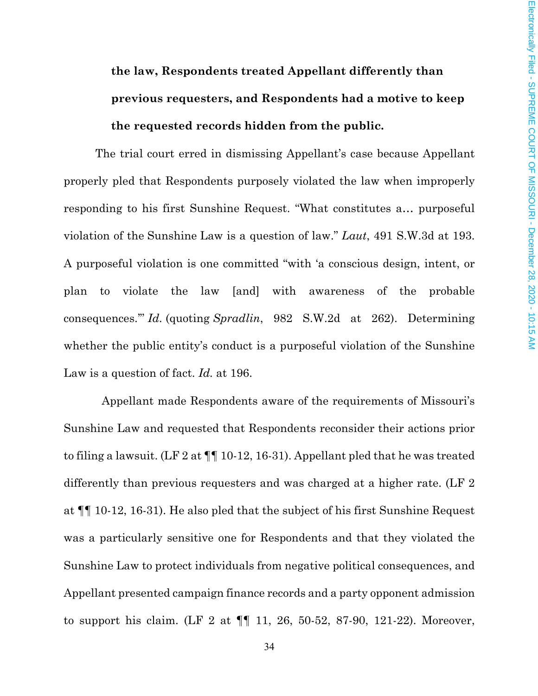# **the law, Respondents treated Appellant differently than previous requesters, and Respondents had a motive to keep the requested records hidden from the public.**

The trial court erred in dismissing Appellant's case because Appellant properly pled that Respondents purposely violated the law when improperly responding to his first Sunshine Request. "What constitutes a… purposeful violation of the Sunshine Law is a question of law." *Laut*, 491 S.W.3d at 193. A purposeful violation is one committed "with 'a conscious design, intent, or plan to violate the law [and] with awareness of the probable consequences.'" *Id.* (quoting *Spradlin*, 982 S.W.2d at 262). Determining whether the public entity's conduct is a purposeful violation of the Sunshine Law is a question of fact. *Id.* at 196.

Appellant made Respondents aware of the requirements of Missouri's Sunshine Law and requested that Respondents reconsider their actions prior to filing a lawsuit. (LF 2 at ¶¶ 10-12, 16-31). Appellant pled that he was treated differently than previous requesters and was charged at a higher rate. (LF 2 at ¶¶ 10-12, 16-31). He also pled that the subject of his first Sunshine Request was a particularly sensitive one for Respondents and that they violated the Sunshine Law to protect individuals from negative political consequences, and Appellant presented campaign finance records and a party opponent admission to support his claim. (LF 2 at ¶¶ 11, 26, 50-52, 87-90, 121-22). Moreover,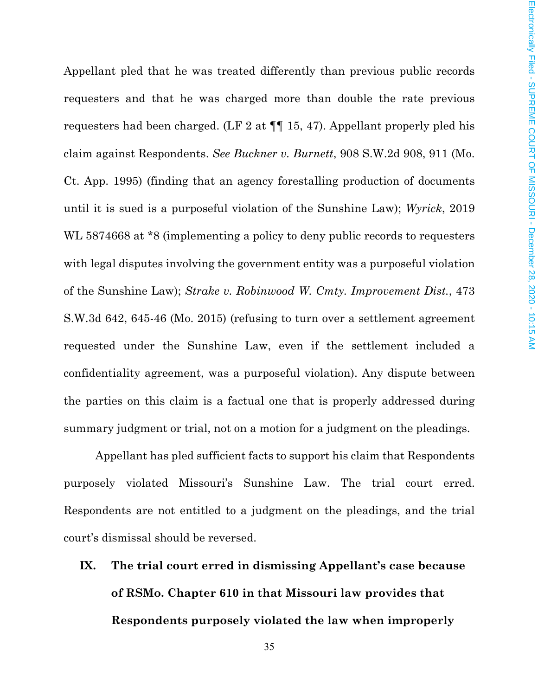Appellant pled that he was treated differently than previous public records requesters and that he was charged more than double the rate previous requesters had been charged. (LF 2 at ¶¶ 15, 47). Appellant properly pled his claim against Respondents. *See Buckner v. Burnett*, 908 S.W.2d 908, 911 (Mo. Ct. App. 1995) (finding that an agency forestalling production of documents until it is sued is a purposeful violation of the Sunshine Law); *Wyrick*, 2019 WL 5874668 at \*8 (implementing a policy to deny public records to requesters with legal disputes involving the government entity was a purposeful violation of the Sunshine Law); *Strake v. Robinwood W. Cmty. Improvement Dist.*, 473 S.W.3d 642, 645-46 (Mo. 2015) (refusing to turn over a settlement agreement requested under the Sunshine Law, even if the settlement included a confidentiality agreement, was a purposeful violation). Any dispute between the parties on this claim is a factual one that is properly addressed during summary judgment or trial, not on a motion for a judgment on the pleadings.

Appellant has pled sufficient facts to support his claim that Respondents purposely violated Missouri's Sunshine Law. The trial court erred. Respondents are not entitled to a judgment on the pleadings, and the trial court's dismissal should be reversed.

**IX. The trial court erred in dismissing Appellant's case because of RSMo. Chapter 610 in that Missouri law provides that Respondents purposely violated the law when improperly**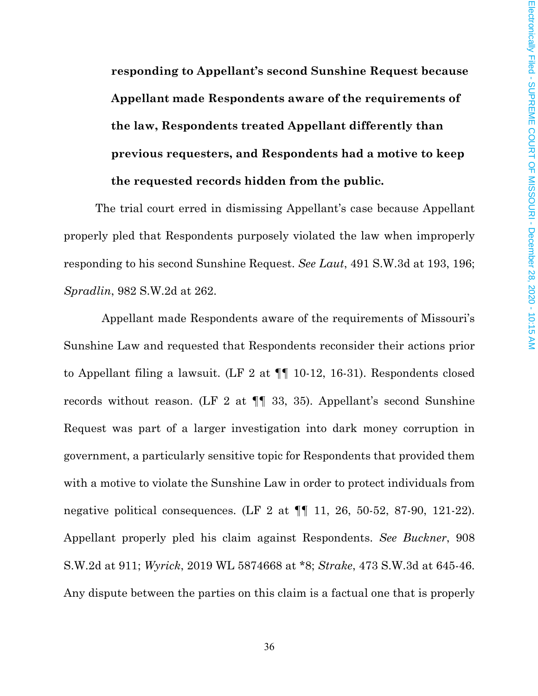**responding to Appellant's second Sunshine Request because Appellant made Respondents aware of the requirements of the law, Respondents treated Appellant differently than previous requesters, and Respondents had a motive to keep the requested records hidden from the public.**

The trial court erred in dismissing Appellant's case because Appellant properly pled that Respondents purposely violated the law when improperly responding to his second Sunshine Request. *See Laut*, 491 S.W.3d at 193, 196; *Spradlin*, 982 S.W.2d at 262.

Appellant made Respondents aware of the requirements of Missouri's Sunshine Law and requested that Respondents reconsider their actions prior to Appellant filing a lawsuit. (LF 2 at ¶¶ 10-12, 16-31). Respondents closed records without reason. (LF 2 at ¶¶ 33, 35). Appellant's second Sunshine Request was part of a larger investigation into dark money corruption in government, a particularly sensitive topic for Respondents that provided them with a motive to violate the Sunshine Law in order to protect individuals from negative political consequences. (LF 2 at  $\P\P$  11, 26, 50-52, 87-90, 121-22). Appellant properly pled his claim against Respondents. *See Buckner*, 908 S.W.2d at 911; *Wyrick*, 2019 WL 5874668 at \*8; *Strake*, 473 S.W.3d at 645-46. Any dispute between the parties on this claim is a factual one that is properly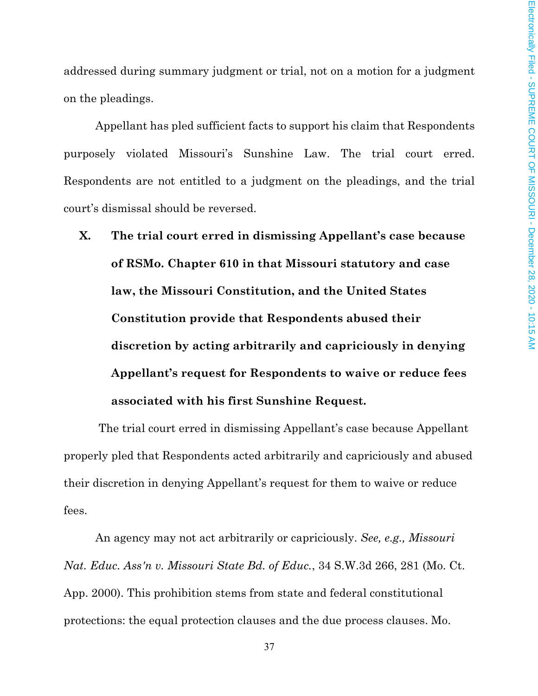addressed during summary judgment or trial, not on a motion for a judgment on the pleadings.

Appellant has pled sufficient facts to support his claim that Respondents purposely violated Missouri's Sunshine Law. The trial court erred. Respondents are not entitled to a judgment on the pleadings, and the trial court's dismissal should be reversed.

**X. The trial court erred in dismissing Appellant's case because of RSMo. Chapter 610 in that Missouri statutory and case law, the Missouri Constitution, and the United States Constitution provide that Respondents abused their discretion by acting arbitrarily and capriciously in denying Appellant's request for Respondents to waive or reduce fees associated with his first Sunshine Request.**

The trial court erred in dismissing Appellant's case because Appellant properly pled that Respondents acted arbitrarily and capriciously and abused their discretion in denying Appellant's request for them to waive or reduce fees.

An agency may not act arbitrarily or capriciously. *See, e.g., Missouri Nat. Educ. Ass'n v. Missouri State Bd. of Educ.*, 34 S.W.3d 266, 281 (Mo. Ct. App. 2000). This prohibition stems from state and federal constitutional protections: the equal protection clauses and the due process clauses. Mo.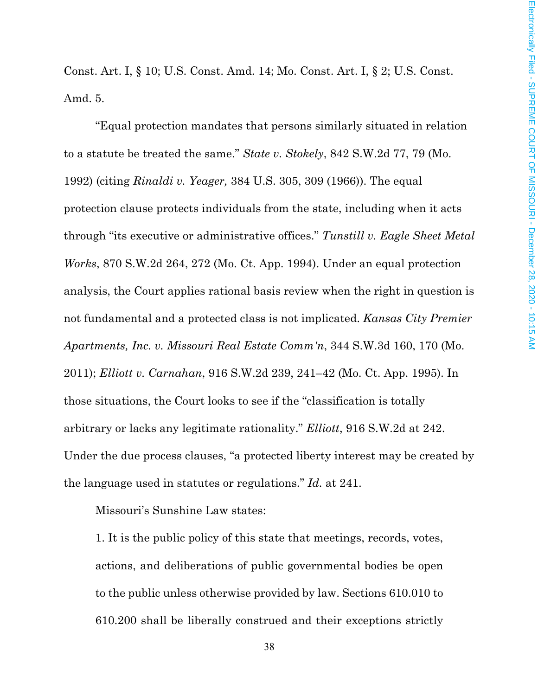Const. Art. I, § 10; U.S. Const. Amd. 14; Mo. Const. Art. I, § 2; U.S. Const. Amd. 5.

"Equal protection mandates that persons similarly situated in relation to a statute be treated the same." *State v. Stokely*, 842 S.W.2d 77, 79 (Mo. 1992) (citing *Rinaldi v. Yeager,* 384 U.S. 305, 309 (1966)). The equal protection clause protects individuals from the state, including when it acts through "its executive or administrative offices." *Tunstill v. Eagle Sheet Metal Works*, 870 S.W.2d 264, 272 (Mo. Ct. App. 1994). Under an equal protection analysis, the Court applies rational basis review when the right in question is not fundamental and a protected class is not implicated. *Kansas City Premier Apartments, Inc. v. Missouri Real Estate Comm'n*, 344 S.W.3d 160, 170 (Mo. 2011); *Elliott v. Carnahan*, 916 S.W.2d 239, 241–42 (Mo. Ct. App. 1995). In those situations, the Court looks to see if the "classification is totally arbitrary or lacks any legitimate rationality." *Elliott*, 916 S.W.2d at 242. Under the due process clauses, "a protected liberty interest may be created by the language used in statutes or regulations." *Id.* at 241.

Missouri's Sunshine Law states:

1. It is the public policy of this state that meetings, records, votes, actions, and deliberations of public governmental bodies be open to the public unless otherwise provided by law. Sections 610.010 to 610.200 shall be liberally construed and their exceptions strictly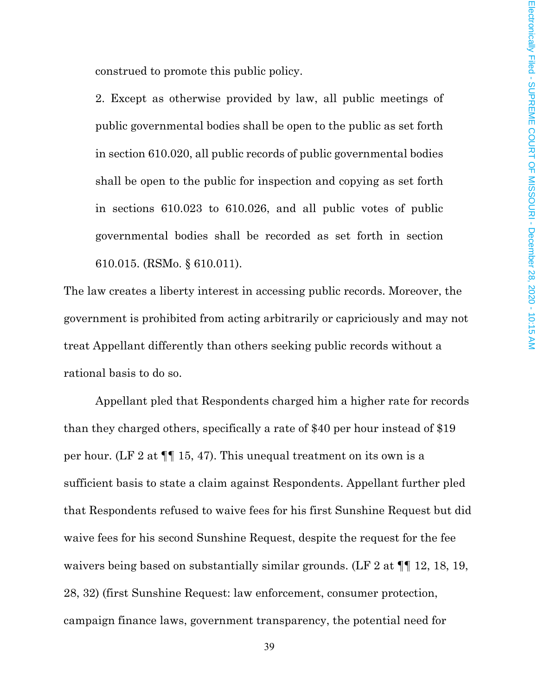construed to promote this public policy.

2. Except as otherwise provided by law, all public meetings of public governmental bodies shall be open to the public as set forth in section 610.020, all public records of public governmental bodies shall be open to the public for inspection and copying as set forth in sections 610.023 to 610.026, and all public votes of public governmental bodies shall be recorded as set forth in section 610.015. (RSMo. § 610.011).

The law creates a liberty interest in accessing public records. Moreover, the government is prohibited from acting arbitrarily or capriciously and may not treat Appellant differently than others seeking public records without a rational basis to do so.

Appellant pled that Respondents charged him a higher rate for records than they charged others, specifically a rate of \$40 per hour instead of \$19 per hour. (LF 2 at ¶¶ 15, 47). This unequal treatment on its own is a sufficient basis to state a claim against Respondents. Appellant further pled that Respondents refused to waive fees for his first Sunshine Request but did waive fees for his second Sunshine Request, despite the request for the fee waivers being based on substantially similar grounds. (LF 2 at  $\P$  12, 18, 19, 28, 32) (first Sunshine Request: law enforcement, consumer protection, campaign finance laws, government transparency, the potential need for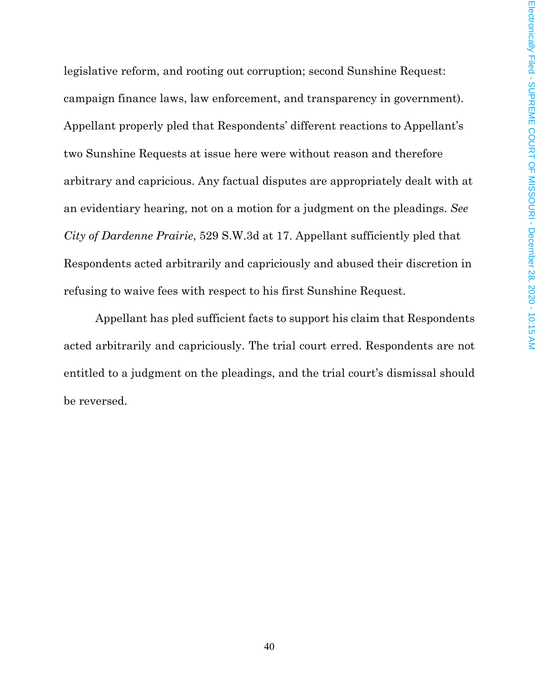legislative reform, and rooting out corruption; second Sunshine Request: campaign finance laws, law enforcement, and transparency in government). Appellant properly pled that Respondents' different reactions to Appellant's two Sunshine Requests at issue here were without reason and therefore arbitrary and capricious. Any factual disputes are appropriately dealt with at an evidentiary hearing, not on a motion for a judgment on the pleadings. *See City of Dardenne Prairie*, 529 S.W.3d at 17. Appellant sufficiently pled that Respondents acted arbitrarily and capriciously and abused their discretion in refusing to waive fees with respect to his first Sunshine Request.

Appellant has pled sufficient facts to support his claim that Respondents acted arbitrarily and capriciously. The trial court erred. Respondents are not entitled to a judgment on the pleadings, and the trial court's dismissal should be reversed.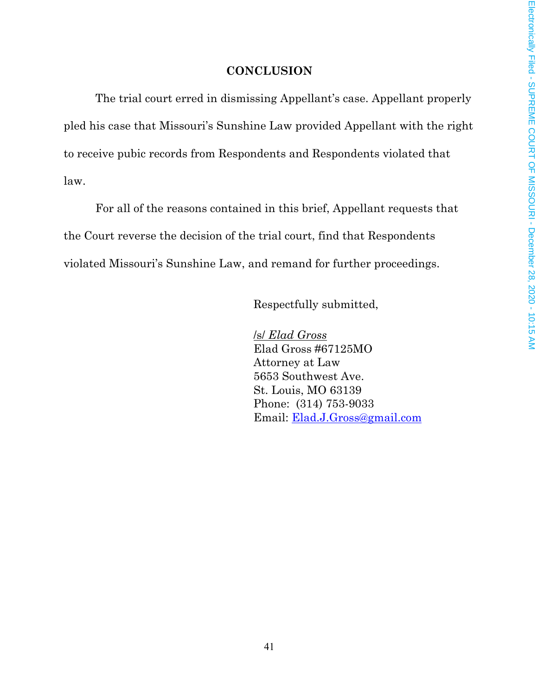## **CONCLUSION**

The trial court erred in dismissing Appellant's case. Appellant properly pled his case that Missouri's Sunshine Law provided Appellant with the right to receive pubic records from Respondents and Respondents violated that law.

For all of the reasons contained in this brief, Appellant requests that the Court reverse the decision of the trial court, find that Respondents violated Missouri's Sunshine Law, and remand for further proceedings.

Respectfully submitted,

/s/ *Elad Gross*  Elad Gross #67125MO Attorney at Law 5653 Southwest Ave. St. Louis, MO 63139 Phone: (314) 753-9033 Email: Elad.J.Gross@gmail.com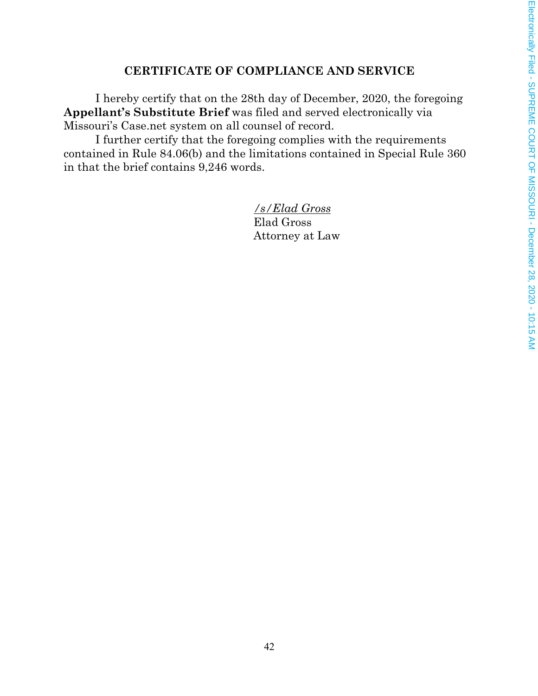# **CERTIFICATE OF COMPLIANCE AND SERVICE**

I hereby certify that on the 28th day of December, 2020, the foregoing **Appellant's Substitute Brief** was filed and served electronically via Missouri's Case.net system on all counsel of record.

I further certify that the foregoing complies with the requirements contained in Rule 84.06(b) and the limitations contained in Special Rule 360 in that the brief contains 9,246 words.

> */s/Elad Gross*  Elad Gross Attorney at Law